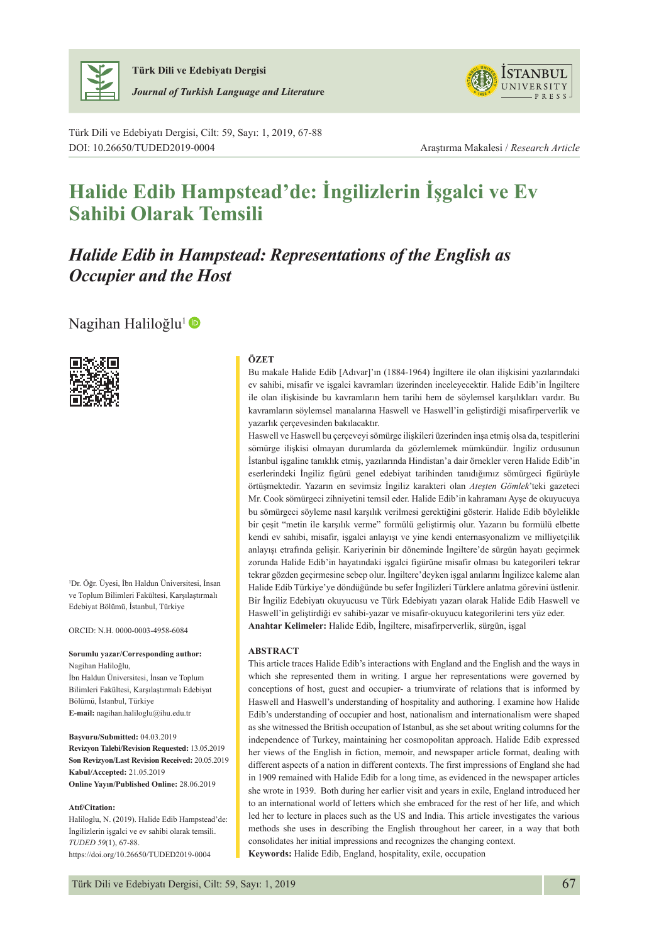

**Türk Dili ve Edebiyatı Dergisi** *Journal of Turkish Language and Literatur***e**



Türk Dili ve Edebiyatı Dergisi, Cilt: 59, Sayı: 1, 2019, 67-88 DOI: 10.26650/TUDED2019-0004 Araştırma Makalesi / *Research Article*

# **Halide Edib Hampstead'de: İngilizlerin İşgalci ve Ev Sahibi Olarak Temsili**

## *Halide Edib in Hampstead: Representations of the English as Occupier and the Host*

Nagihan Haliloğlu<sup>1</sup>



1 Dr. Öğr. Üyesi, İbn Haldun Üniversitesi, İnsan ve Toplum Bilimleri Fakültesi, Karşılaştırmalı Edebiyat Bölümü, İstanbul, Türkiye

ORCID: N.H. 0000-0003-4958-6084

**Sorumlu yazar/Corresponding author:** Nagihan Haliloğlu,

İbn Haldun Üniversitesi, İnsan ve Toplum Bilimleri Fakültesi, Karşılaştırmalı Edebiyat Bölümü, İstanbul, Türkiye **E-mail:** nagihan.haliloglu@ihu.edu.tr

**Başvuru/Submitted:** 04.03.2019 **Revizyon Talebi/Revision Requested:** 13.05.2019 **Son Revizyon/Last Revision Received:** 20.05.2019 **Kabul/Accepted:** 21.05.2019 **Online Yayın/Published Online:** 28.06.2019

#### **Atıf/Citation:**

Haliloglu, N. (2019). Halide Edib Hampstead'de: İngilizlerin işgalci ve ev sahibi olarak temsili. *TUDED 59*(1), 67-88. https://doi.org/10.26650/TUDED2019-0004

#### **ÖZET**

Bu makale Halide Edib [Adıvar]'ın (1884-1964) İngiltere ile olan ilişkisini yazılarındaki ev sahibi, misafir ve işgalci kavramları üzerinden inceleyecektir. Halide Edib'in İngiltere ile olan ilişkisinde bu kavramların hem tarihi hem de söylemsel karşılıkları vardır. Bu kavramların söylemsel manalarına Haswell ve Haswell'in geliştirdiği misafirperverlik ve yazarlık çerçevesinden bakılacaktır.

Haswell ve Haswell bu çerçeveyi sömürge ilişkileri üzerinden inşa etmiş olsa da, tespitlerini sömürge ilişkisi olmayan durumlarda da gözlemlemek mümkündür. İngiliz ordusunun İstanbul işgaline tanıklık etmiş, yazılarında Hindistan'a dair örnekler veren Halide Edib'in eserlerindeki İngiliz figürü genel edebiyat tarihinden tanıdığımız sömürgeci figürüyle örtüşmektedir. Yazarın en sevimsiz İngiliz karakteri olan *Ateşten Gömlek*'teki gazeteci Mr. Cook sömürgeci zihniyetini temsil eder. Halide Edib'in kahramanı Ayşe de okuyucuya bu sömürgeci söyleme nasıl karşılık verilmesi gerektiğini gösterir. Halide Edib böylelikle bir çeşit "metin ile karşılık verme" formülü geliştirmiş olur. Yazarın bu formülü elbette kendi ev sahibi, misafir, işgalci anlayışı ve yine kendi enternasyonalizm ve milliyetçilik anlayışı etrafında gelişir. Kariyerinin bir döneminde İngiltere'de sürgün hayatı geçirmek zorunda Halide Edib'in hayatındaki işgalci figürüne misafir olması bu kategorileri tekrar tekrar gözden geçirmesine sebep olur. İngiltere'deyken işgal anılarını İngilizce kaleme alan Halide Edib Türkiye'ye döndüğünde bu sefer İngilizleri Türklere anlatma görevini üstlenir. Bir İngiliz Edebiyatı okuyucusu ve Türk Edebiyatı yazarı olarak Halide Edib Haswell ve Haswell'in geliştirdiği ev sahibi-yazar ve misafir-okuyucu kategorilerini ters yüz eder. **Anahtar Kelimeler:** Halide Edib, İngiltere, misafirperverlik, sürgün, işgal

#### **ABSTRACT**

This article traces Halide Edib's interactions with England and the English and the ways in which she represented them in writing. I argue her representations were governed by conceptions of host, guest and occupier- a triumvirate of relations that is informed by Haswell and Haswell's understanding of hospitality and authoring. I examine how Halide Edib's understanding of occupier and host, nationalism and internationalism were shaped as she witnessed the British occupation of Istanbul, as she set about writing columns for the independence of Turkey, maintaining her cosmopolitan approach. Halide Edib expressed her views of the English in fiction, memoir, and newspaper article format, dealing with different aspects of a nation in different contexts. The first impressions of England she had in 1909 remained with Halide Edib for a long time, as evidenced in the newspaper articles she wrote in 1939. Both during her earlier visit and years in exile, England introduced her to an international world of letters which she embraced for the rest of her life, and which led her to lecture in places such as the US and India. This article investigates the various methods she uses in describing the English throughout her career, in a way that both consolidates her initial impressions and recognizes the changing context. **Keywords:** Halide Edib, England, hospitality, exile, occupation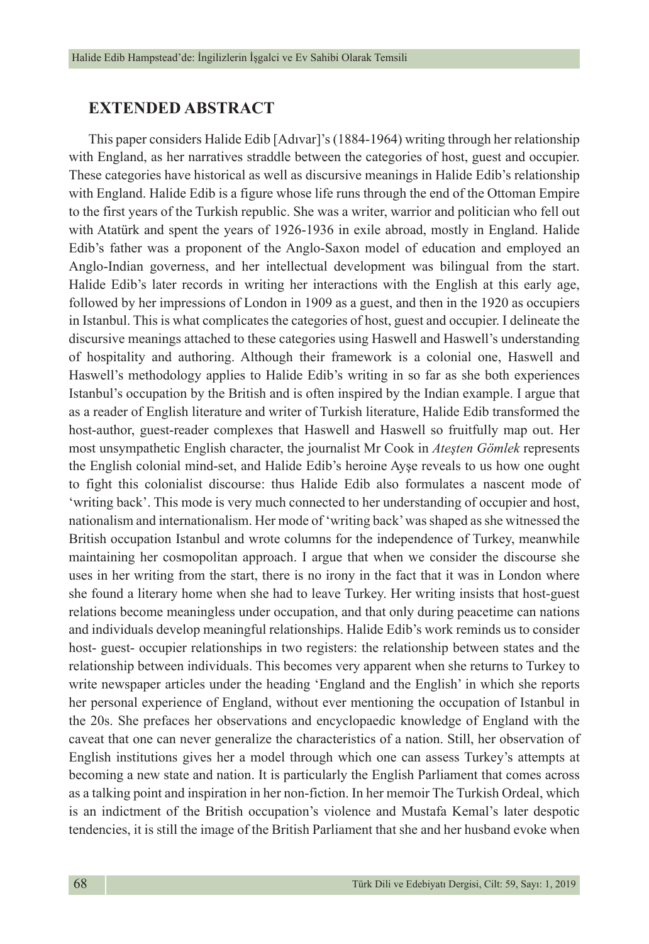### **EXTENDED ABSTRACT**

This paper considers Halide Edib [Adıvar]'s (1884-1964) writing through her relationship with England, as her narratives straddle between the categories of host, guest and occupier. These categories have historical as well as discursive meanings in Halide Edib's relationship with England. Halide Edib is a figure whose life runs through the end of the Ottoman Empire to the first years of the Turkish republic. She was a writer, warrior and politician who fell out with Atatürk and spent the years of 1926-1936 in exile abroad, mostly in England. Halide Edib's father was a proponent of the Anglo-Saxon model of education and employed an Anglo-Indian governess, and her intellectual development was bilingual from the start. Halide Edib's later records in writing her interactions with the English at this early age, followed by her impressions of London in 1909 as a guest, and then in the 1920 as occupiers in Istanbul. This is what complicates the categories of host, guest and occupier. I delineate the discursive meanings attached to these categories using Haswell and Haswell's understanding of hospitality and authoring. Although their framework is a colonial one, Haswell and Haswell's methodology applies to Halide Edib's writing in so far as she both experiences Istanbul's occupation by the British and is often inspired by the Indian example. I argue that as a reader of English literature and writer of Turkish literature, Halide Edib transformed the host-author, guest-reader complexes that Haswell and Haswell so fruitfully map out. Her most unsympathetic English character, the journalist Mr Cook in *Ateşten Gömlek* represents the English colonial mind-set, and Halide Edib's heroine Ayşe reveals to us how one ought to fight this colonialist discourse: thus Halide Edib also formulates a nascent mode of 'writing back'. This mode is very much connected to her understanding of occupier and host, nationalism and internationalism. Her mode of 'writing back' was shaped as she witnessed the British occupation Istanbul and wrote columns for the independence of Turkey, meanwhile maintaining her cosmopolitan approach. I argue that when we consider the discourse she uses in her writing from the start, there is no irony in the fact that it was in London where she found a literary home when she had to leave Turkey. Her writing insists that host-guest relations become meaningless under occupation, and that only during peacetime can nations and individuals develop meaningful relationships. Halide Edib's work reminds us to consider host- guest- occupier relationships in two registers: the relationship between states and the relationship between individuals. This becomes very apparent when she returns to Turkey to write newspaper articles under the heading 'England and the English' in which she reports her personal experience of England, without ever mentioning the occupation of Istanbul in the 20s. She prefaces her observations and encyclopaedic knowledge of England with the caveat that one can never generalize the characteristics of a nation. Still, her observation of English institutions gives her a model through which one can assess Turkey's attempts at becoming a new state and nation. It is particularly the English Parliament that comes across as a talking point and inspiration in her non-fiction. In her memoir The Turkish Ordeal, which is an indictment of the British occupation's violence and Mustafa Kemal's later despotic tendencies, it is still the image of the British Parliament that she and her husband evoke when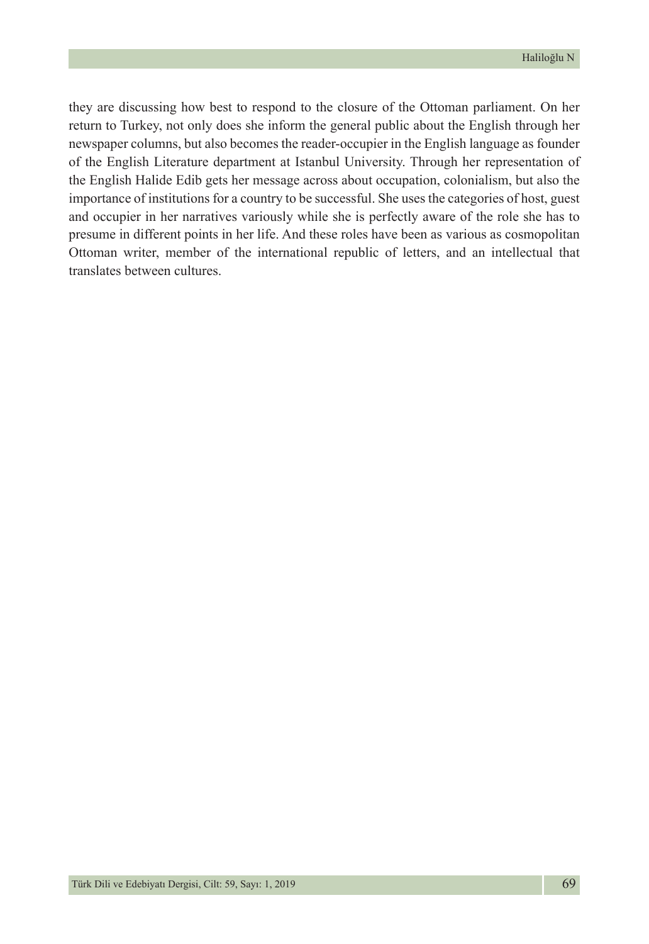they are discussing how best to respond to the closure of the Ottoman parliament. On her return to Turkey, not only does she inform the general public about the English through her newspaper columns, but also becomes the reader-occupier in the English language as founder of the English Literature department at Istanbul University. Through her representation of the English Halide Edib gets her message across about occupation, colonialism, but also the importance of institutions for a country to be successful. She uses the categories of host, guest and occupier in her narratives variously while she is perfectly aware of the role she has to presume in different points in her life. And these roles have been as various as cosmopolitan Ottoman writer, member of the international republic of letters, and an intellectual that translates between cultures.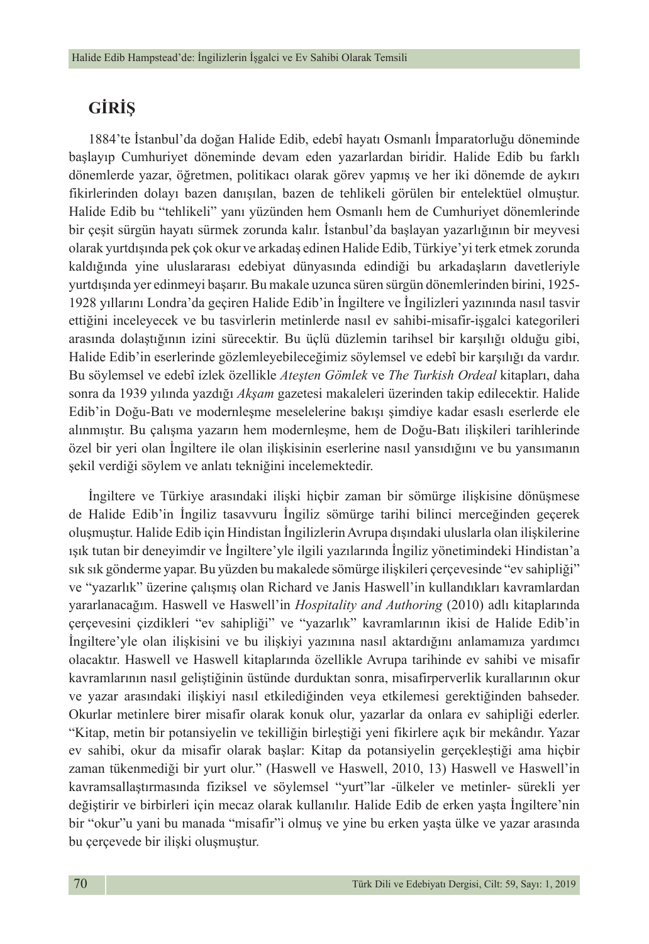## **GİRİŞ**

1884'te İstanbul'da doğan Halide Edib, edebî hayatı Osmanlı İmparatorluğu döneminde başlayıp Cumhuriyet döneminde devam eden yazarlardan biridir. Halide Edib bu farklı dönemlerde yazar, öğretmen, politikacı olarak görev yapmış ve her iki dönemde de aykırı fikirlerinden dolayı bazen danışılan, bazen de tehlikeli görülen bir entelektüel olmuştur. Halide Edib bu "tehlikeli" yanı yüzünden hem Osmanlı hem de Cumhuriyet dönemlerinde bir çeşit sürgün hayatı sürmek zorunda kalır. İstanbul'da başlayan yazarlığının bir meyvesi olarak yurtdışında pek çok okur ve arkadaş edinen Halide Edib, Türkiye'yi terk etmek zorunda kaldığında yine uluslararası edebiyat dünyasında edindiği bu arkadaşların davetleriyle yurtdışında yer edinmeyi başarır. Bu makale uzunca süren sürgün dönemlerinden birini, 1925- 1928 yıllarını Londra'da geçiren Halide Edib'in İngiltere ve İngilizleri yazınında nasıl tasvir ettiğini inceleyecek ve bu tasvirlerin metinlerde nasıl ev sahibi-misafir-işgalci kategorileri arasında dolaştığının izini sürecektir. Bu üçlü düzlemin tarihsel bir karşılığı olduğu gibi, Halide Edib'in eserlerinde gözlemleyebileceğimiz söylemsel ve edebî bir karşılığı da vardır. Bu söylemsel ve edebî izlek özellikle *Ateşten Gömlek* ve *The Turkish Ordeal* kitapları, daha sonra da 1939 yılında yazdığı *Akşam* gazetesi makaleleri üzerinden takip edilecektir. Halide Edib'in Doğu-Batı ve modernleşme meselelerine bakışı şimdiye kadar esaslı eserlerde ele alınmıştır. Bu çalışma yazarın hem modernleşme, hem de Doğu-Batı ilişkileri tarihlerinde özel bir yeri olan İngiltere ile olan ilişkisinin eserlerine nasıl yansıdığını ve bu yansımanın şekil verdiği söylem ve anlatı tekniğini incelemektedir.

İngiltere ve Türkiye arasındaki ilişki hiçbir zaman bir sömürge ilişkisine dönüşmese de Halide Edib'in İngiliz tasavvuru İngiliz sömürge tarihi bilinci merceğinden geçerek oluşmuştur. Halide Edib için Hindistan İngilizlerin Avrupa dışındaki uluslarla olan ilişkilerine ışık tutan bir deneyimdir ve İngiltere'yle ilgili yazılarında İngiliz yönetimindeki Hindistan'a sık sık gönderme yapar. Bu yüzden bu makalede sömürge ilişkileri çerçevesinde "ev sahipliği" ve "yazarlık" üzerine çalışmış olan Richard ve Janis Haswell'in kullandıkları kavramlardan yararlanacağım. Haswell ve Haswell'in *Hospitality and Authoring* (2010) adlı kitaplarında çerçevesini çizdikleri "ev sahipliği" ve "yazarlık" kavramlarının ikisi de Halide Edib'in İngiltere'yle olan ilişkisini ve bu ilişkiyi yazınına nasıl aktardığını anlamamıza yardımcı olacaktır. Haswell ve Haswell kitaplarında özellikle Avrupa tarihinde ev sahibi ve misafir kavramlarının nasıl geliştiğinin üstünde durduktan sonra, misafirperverlik kurallarının okur ve yazar arasındaki ilişkiyi nasıl etkilediğinden veya etkilemesi gerektiğinden bahseder. Okurlar metinlere birer misafir olarak konuk olur, yazarlar da onlara ev sahipliği ederler. "Kitap, metin bir potansiyelin ve tekilliğin birleştiği yeni fikirlere açık bir mekândır. Yazar ev sahibi, okur da misafir olarak başlar: Kitap da potansiyelin gerçekleştiği ama hiçbir zaman tükenmediği bir yurt olur." (Haswell ve Haswell, 2010, 13) Haswell ve Haswell'in kavramsallaştırmasında fiziksel ve söylemsel "yurt"lar -ülkeler ve metinler- sürekli yer değiştirir ve birbirleri için mecaz olarak kullanılır. Halide Edib de erken yaşta İngiltere'nin bir "okur"u yani bu manada "misafir"i olmuş ve yine bu erken yaşta ülke ve yazar arasında bu çerçevede bir ilişki oluşmuştur.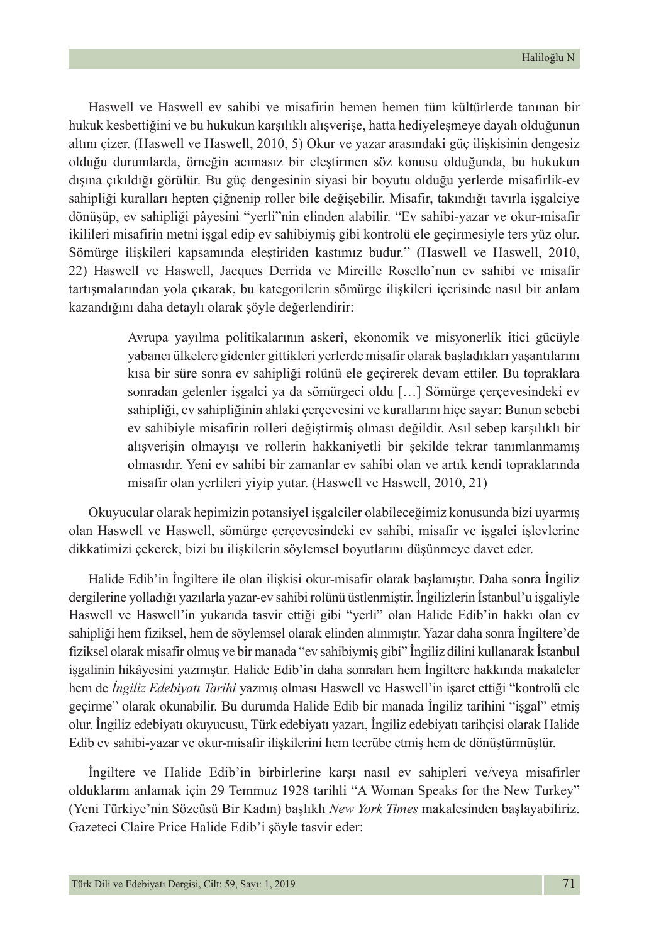Haswell ve Haswell ev sahibi ve misafirin hemen hemen tüm kültürlerde tanınan bir hukuk kesbettiğini ve bu hukukun karşılıklı alışverişe, hatta hediyeleşmeye dayalı olduğunun altını çizer. (Haswell ve Haswell, 2010, 5) Okur ve yazar arasındaki güç ilişkisinin dengesiz olduğu durumlarda, örneğin acımasız bir eleştirmen söz konusu olduğunda, bu hukukun dışına çıkıldığı görülür. Bu güç dengesinin siyasi bir boyutu olduğu yerlerde misafirlik-ev sahipliği kuralları hepten çiğnenip roller bile değişebilir. Misafir, takındığı tavırla işgalciye dönüşüp, ev sahipliği pâyesini "yerli"nin elinden alabilir. "Ev sahibi-yazar ve okur-misafir ikilileri misafirin metni işgal edip ev sahibiymiş gibi kontrolü ele geçirmesiyle ters yüz olur. Sömürge ilişkileri kapsamında eleştiriden kastımız budur." (Haswell ve Haswell, 2010, 22) Haswell ve Haswell, Jacques Derrida ve Mireille Rosello'nun ev sahibi ve misafir tartışmalarından yola çıkarak, bu kategorilerin sömürge ilişkileri içerisinde nasıl bir anlam kazandığını daha detaylı olarak şöyle değerlendirir:

> Avrupa yayılma politikalarının askerî, ekonomik ve misyonerlik itici gücüyle yabancı ülkelere gidenler gittikleri yerlerde misafir olarak başladıkları yaşantılarını kısa bir süre sonra ev sahipliği rolünü ele geçirerek devam ettiler. Bu topraklara sonradan gelenler işgalci ya da sömürgeci oldu […] Sömürge çerçevesindeki ev sahipliği, ev sahipliğinin ahlaki çerçevesini ve kurallarını hiçe sayar: Bunun sebebi ev sahibiyle misafirin rolleri değiştirmiş olması değildir. Asıl sebep karşılıklı bir alışverişin olmayışı ve rollerin hakkaniyetli bir şekilde tekrar tanımlanmamış olmasıdır. Yeni ev sahibi bir zamanlar ev sahibi olan ve artık kendi topraklarında misafir olan yerlileri yiyip yutar. (Haswell ve Haswell, 2010, 21)

Okuyucular olarak hepimizin potansiyel işgalciler olabileceğimiz konusunda bizi uyarmış olan Haswell ve Haswell, sömürge çerçevesindeki ev sahibi, misafir ve işgalci işlevlerine dikkatimizi çekerek, bizi bu ilişkilerin söylemsel boyutlarını düşünmeye davet eder.

Halide Edib'in İngiltere ile olan ilişkisi okur-misafir olarak başlamıştır. Daha sonra İngiliz dergilerine yolladığı yazılarla yazar-ev sahibi rolünü üstlenmiştir. İngilizlerin İstanbul'u işgaliyle Haswell ve Haswell'in yukarıda tasvir ettiği gibi "yerli" olan Halide Edib'in hakkı olan ev sahipliği hem fiziksel, hem de söylemsel olarak elinden alınmıştır. Yazar daha sonra İngiltere'de fiziksel olarak misafir olmuş ve bir manada "ev sahibiymiş gibi" İngiliz dilini kullanarak İstanbul işgalinin hikâyesini yazmıştır. Halide Edib'in daha sonraları hem İngiltere hakkında makaleler hem de *İngiliz Edebiyatı Tarihi* yazmış olması Haswell ve Haswell'in işaret ettiği "kontrolü ele geçirme" olarak okunabilir. Bu durumda Halide Edib bir manada İngiliz tarihini "işgal" etmiş olur. İngiliz edebiyatı okuyucusu, Türk edebiyatı yazarı, İngiliz edebiyatı tarihçisi olarak Halide Edib ev sahibi-yazar ve okur-misafir ilişkilerini hem tecrübe etmiş hem de dönüştürmüştür.

İngiltere ve Halide Edib'in birbirlerine karşı nasıl ev sahipleri ve/veya misafirler olduklarını anlamak için 29 Temmuz 1928 tarihli "A Woman Speaks for the New Turkey" (Yeni Türkiye'nin Sözcüsü Bir Kadın) başlıklı *New York Times* makalesinden başlayabiliriz. Gazeteci Claire Price Halide Edib'i şöyle tasvir eder: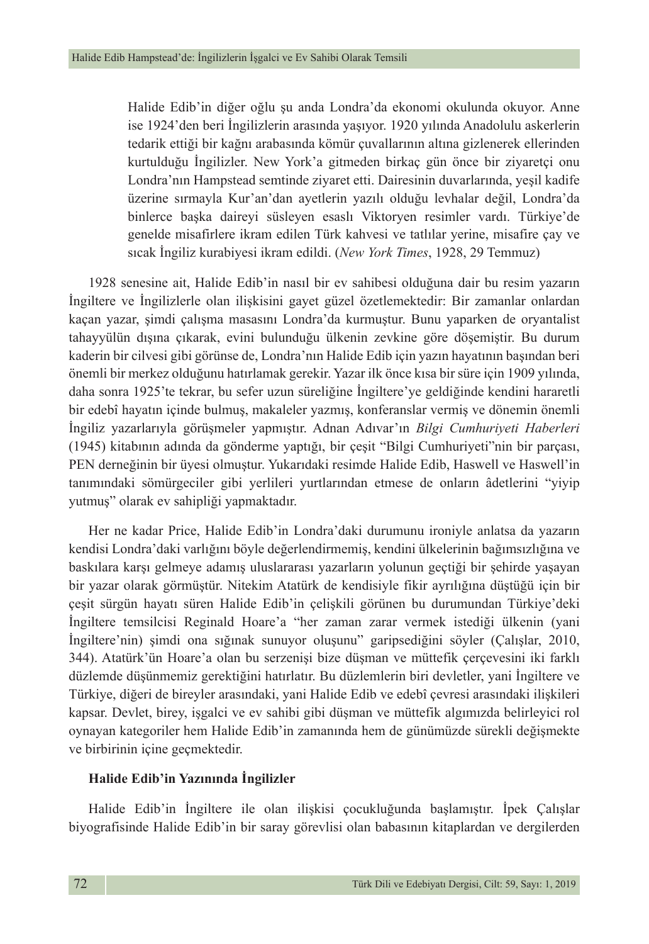Halide Edib'in diğer oğlu şu anda Londra'da ekonomi okulunda okuyor. Anne ise 1924'den beri İngilizlerin arasında yaşıyor. 1920 yılında Anadolulu askerlerin tedarik ettiği bir kağnı arabasında kömür çuvallarının altına gizlenerek ellerinden kurtulduğu İngilizler. New York'a gitmeden birkaç gün önce bir ziyaretçi onu Londra'nın Hampstead semtinde ziyaret etti. Dairesinin duvarlarında, yeşil kadife üzerine sırmayla Kur'an'dan ayetlerin yazılı olduğu levhalar değil, Londra'da binlerce başka daireyi süsleyen esaslı Viktoryen resimler vardı. Türkiye'de genelde misafirlere ikram edilen Türk kahvesi ve tatlılar yerine, misafire çay ve sıcak İngiliz kurabiyesi ikram edildi. (*New York Times*, 1928, 29 Temmuz)

1928 senesine ait, Halide Edib'in nasıl bir ev sahibesi olduğuna dair bu resim yazarın İngiltere ve İngilizlerle olan ilişkisini gayet güzel özetlemektedir: Bir zamanlar onlardan kaçan yazar, şimdi çalışma masasını Londra'da kurmuştur. Bunu yaparken de oryantalist tahayyülün dışına çıkarak, evini bulunduğu ülkenin zevkine göre döşemiştir. Bu durum kaderin bir cilvesi gibi görünse de, Londra'nın Halide Edib için yazın hayatının başından beri önemli bir merkez olduğunu hatırlamak gerekir. Yazar ilk önce kısa bir süre için 1909 yılında, daha sonra 1925'te tekrar, bu sefer uzun süreliğine İngiltere'ye geldiğinde kendini hararetli bir edebî hayatın içinde bulmuş, makaleler yazmış, konferanslar vermiş ve dönemin önemli İngiliz yazarlarıyla görüşmeler yapmıştır. Adnan Adıvar'ın *Bilgi Cumhuriyeti Haberleri* (1945) kitabının adında da gönderme yaptığı, bir çeşit "Bilgi Cumhuriyeti"nin bir parçası, PEN derneğinin bir üyesi olmuştur. Yukarıdaki resimde Halide Edib, Haswell ve Haswell'in tanımındaki sömürgeciler gibi yerlileri yurtlarından etmese de onların âdetlerini "yiyip yutmuş" olarak ev sahipliği yapmaktadır.

Her ne kadar Price, Halide Edib'in Londra'daki durumunu ironiyle anlatsa da yazarın kendisi Londra'daki varlığını böyle değerlendirmemiş, kendini ülkelerinin bağımsızlığına ve baskılara karşı gelmeye adamış uluslararası yazarların yolunun geçtiği bir şehirde yaşayan bir yazar olarak görmüştür. Nitekim Atatürk de kendisiyle fikir ayrılığına düştüğü için bir çeşit sürgün hayatı süren Halide Edib'in çelişkili görünen bu durumundan Türkiye'deki İngiltere temsilcisi Reginald Hoare'a "her zaman zarar vermek istediği ülkenin (yani İngiltere'nin) şimdi ona sığınak sunuyor oluşunu" garipsediğini söyler (Çalışlar, 2010, 344). Atatürk'ün Hoare'a olan bu serzenişi bize düşman ve müttefik çerçevesini iki farklı düzlemde düşünmemiz gerektiğini hatırlatır. Bu düzlemlerin biri devletler, yani İngiltere ve Türkiye, diğeri de bireyler arasındaki, yani Halide Edib ve edebî çevresi arasındaki ilişkileri kapsar. Devlet, birey, işgalci ve ev sahibi gibi düşman ve müttefik algımızda belirleyici rol oynayan kategoriler hem Halide Edib'in zamanında hem de günümüzde sürekli değişmekte ve birbirinin içine geçmektedir.

#### **Halide Edib'in Yazınında İngilizler**

Halide Edib'in İngiltere ile olan ilişkisi çocukluğunda başlamıştır. İpek Çalışlar biyografisinde Halide Edib'in bir saray görevlisi olan babasının kitaplardan ve dergilerden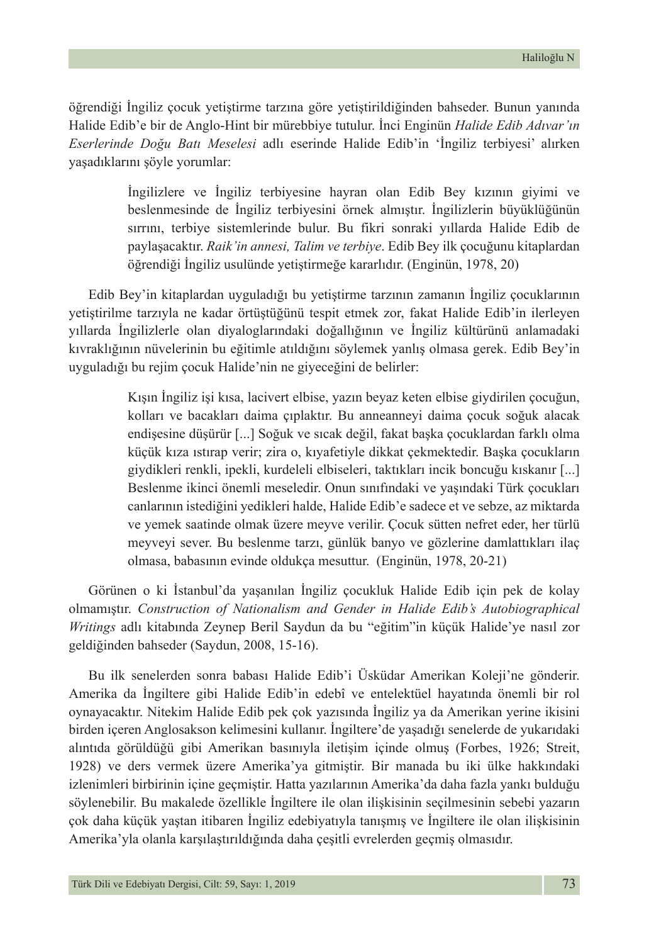öğrendiği İngiliz çocuk yetiştirme tarzına göre yetiştirildiğinden bahseder. Bunun yanında Halide Edib'e bir de Anglo-Hint bir mürebbiye tutulur. İnci Enginün *Halide Edib Adıvar'ın Eserlerinde Doğu Batı Meselesi* adlı eserinde Halide Edib'in 'İngiliz terbiyesi' alırken yaşadıklarını şöyle yorumlar:

> İngilizlere ve İngiliz terbiyesine hayran olan Edib Bey kızının giyimi ve beslenmesinde de İngiliz terbiyesini örnek almıştır. İngilizlerin büyüklüğünün sırrını, terbiye sistemlerinde bulur. Bu fikri sonraki yıllarda Halide Edib de paylaşacaktır. *Raik'in annesi, Talim ve terbiye*. Edib Bey ilk çocuğunu kitaplardan öğrendiği İngiliz usulünde yetiştirmeğe kararlıdır. (Enginün, 1978, 20)

Edib Bey'in kitaplardan uyguladığı bu yetiştirme tarzının zamanın İngiliz çocuklarının yetiştirilme tarzıyla ne kadar örtüştüğünü tespit etmek zor, fakat Halide Edib'in ilerleyen yıllarda İngilizlerle olan diyaloglarındaki doğallığının ve İngiliz kültürünü anlamadaki kıvraklığının nüvelerinin bu eğitimle atıldığını söylemek yanlış olmasa gerek. Edib Bey'in uyguladığı bu rejim çocuk Halide'nin ne giyeceğini de belirler:

> Kışın İngiliz işi kısa, lacivert elbise, yazın beyaz keten elbise giydirilen çocuğun, kolları ve bacakları daima çıplaktır. Bu anneanneyi daima çocuk soğuk alacak endişesine düşürür [...] Soğuk ve sıcak değil, fakat başka çocuklardan farklı olma küçük kıza ıstırap verir; zira o, kıyafetiyle dikkat çekmektedir. Başka çocukların giydikleri renkli, ipekli, kurdeleli elbiseleri, taktıkları incik boncuğu kıskanır [...] Beslenme ikinci önemli meseledir. Onun sınıfındaki ve yaşındaki Türk çocukları canlarının istediğini yedikleri halde, Halide Edib'e sadece et ve sebze, az miktarda ve yemek saatinde olmak üzere meyve verilir. Çocuk sütten nefret eder, her türlü meyveyi sever. Bu beslenme tarzı, günlük banyo ve gözlerine damlattıkları ilaç olmasa, babasının evinde oldukça mesuttur. (Enginün, 1978, 20-21)

Görünen o ki İstanbul'da yaşanılan İngiliz çocukluk Halide Edib için pek de kolay olmamıştır. *Construction of Nationalism and Gender in Halide Edib's Autobiographical Writings* adlı kitabında Zeynep Beril Saydun da bu "eğitim"in küçük Halide'ye nasıl zor geldiğinden bahseder (Saydun, 2008, 15-16).

Bu ilk senelerden sonra babası Halide Edib'i Üsküdar Amerikan Koleji'ne gönderir. Amerika da İngiltere gibi Halide Edib'in edebî ve entelektüel hayatında önemli bir rol oynayacaktır. Nitekim Halide Edib pek çok yazısında İngiliz ya da Amerikan yerine ikisini birden içeren Anglosakson kelimesini kullanır. İngiltere'de yaşadığı senelerde de yukarıdaki alıntıda görüldüğü gibi Amerikan basınıyla iletişim içinde olmuş (Forbes, 1926; Streit, 1928) ve ders vermek üzere Amerika'ya gitmiştir. Bir manada bu iki ülke hakkındaki izlenimleri birbirinin içine geçmiştir. Hatta yazılarının Amerika'da daha fazla yankı bulduğu söylenebilir. Bu makalede özellikle İngiltere ile olan ilişkisinin seçilmesinin sebebi yazarın çok daha küçük yaştan itibaren İngiliz edebiyatıyla tanışmış ve İngiltere ile olan ilişkisinin Amerika'yla olanla karşılaştırıldığında daha çeşitli evrelerden geçmiş olmasıdır.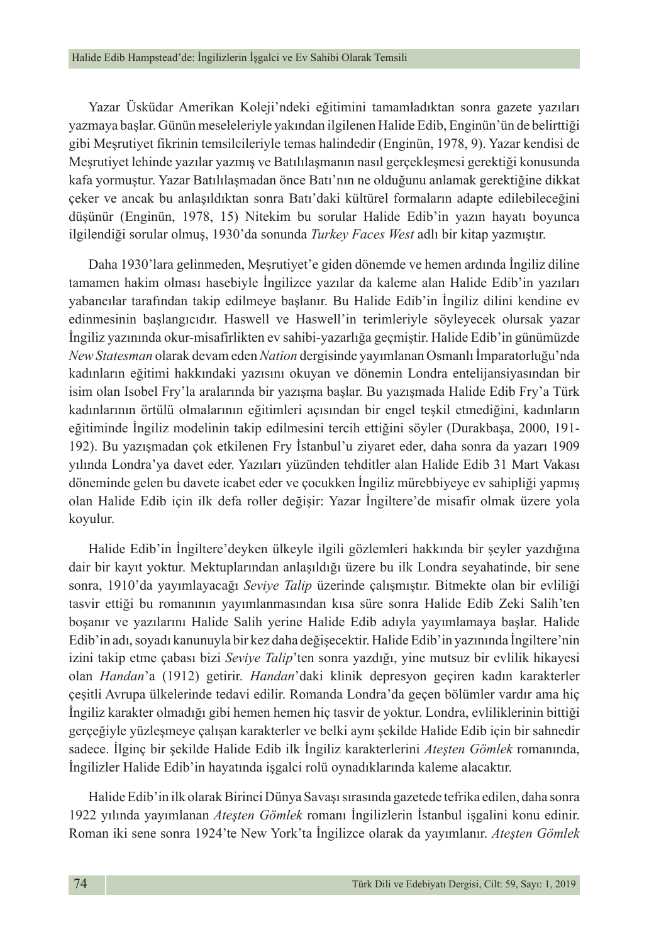Yazar Üsküdar Amerikan Koleji'ndeki eğitimini tamamladıktan sonra gazete yazıları yazmaya başlar. Günün meseleleriyle yakından ilgilenen Halide Edib, Enginün'ün de belirttiği gibi Meşrutiyet fikrinin temsilcileriyle temas halindedir (Enginün, 1978, 9). Yazar kendisi de Meşrutiyet lehinde yazılar yazmış ve Batılılaşmanın nasıl gerçekleşmesi gerektiği konusunda kafa yormuştur. Yazar Batılılaşmadan önce Batı'nın ne olduğunu anlamak gerektiğine dikkat çeker ve ancak bu anlaşıldıktan sonra Batı'daki kültürel formaların adapte edilebileceğini düşünür (Enginün, 1978, 15) Nitekim bu sorular Halide Edib'in yazın hayatı boyunca ilgilendiği sorular olmuş, 1930'da sonunda *Turkey Faces West* adlı bir kitap yazmıştır.

Daha 1930'lara gelinmeden, Meşrutiyet'e giden dönemde ve hemen ardında İngiliz diline tamamen hakim olması hasebiyle İngilizce yazılar da kaleme alan Halide Edib'in yazıları yabancılar tarafından takip edilmeye başlanır. Bu Halide Edib'in İngiliz dilini kendine ev edinmesinin başlangıcıdır. Haswell ve Haswell'in terimleriyle söyleyecek olursak yazar İngiliz yazınında okur-misafirlikten ev sahibi-yazarlığa geçmiştir. Halide Edib'in günümüzde *New Statesman* olarak devam eden *Nation* dergisinde yayımlanan Osmanlı İmparatorluğu'nda kadınların eğitimi hakkındaki yazısını okuyan ve dönemin Londra entelijansiyasından bir isim olan Isobel Fry'la aralarında bir yazışma başlar. Bu yazışmada Halide Edib Fry'a Türk kadınlarının örtülü olmalarının eğitimleri açısından bir engel teşkil etmediğini, kadınların eğitiminde İngiliz modelinin takip edilmesini tercih ettiğini söyler (Durakbaşa, 2000, 191- 192). Bu yazışmadan çok etkilenen Fry İstanbul'u ziyaret eder, daha sonra da yazarı 1909 yılında Londra'ya davet eder. Yazıları yüzünden tehditler alan Halide Edib 31 Mart Vakası döneminde gelen bu davete icabet eder ve çocukken İngiliz mürebbiyeye ev sahipliği yapmış olan Halide Edib için ilk defa roller değişir: Yazar İngiltere'de misafir olmak üzere yola koyulur.

Halide Edib'in İngiltere'deyken ülkeyle ilgili gözlemleri hakkında bir şeyler yazdığına dair bir kayıt yoktur. Mektuplarından anlaşıldığı üzere bu ilk Londra seyahatinde, bir sene sonra, 1910'da yayımlayacağı *Seviye Talip* üzerinde çalışmıştır. Bitmekte olan bir evliliği tasvir ettiği bu romanının yayımlanmasından kısa süre sonra Halide Edib Zeki Salih'ten boşanır ve yazılarını Halide Salih yerine Halide Edib adıyla yayımlamaya başlar. Halide Edib'in adı, soyadı kanunuyla bir kez daha değişecektir. Halide Edib'in yazınında İngiltere'nin izini takip etme çabası bizi *Seviye Talip*'ten sonra yazdığı, yine mutsuz bir evlilik hikayesi olan *Handan*'a (1912) getirir. *Handan*'daki klinik depresyon geçiren kadın karakterler çeşitli Avrupa ülkelerinde tedavi edilir. Romanda Londra'da geçen bölümler vardır ama hiç İngiliz karakter olmadığı gibi hemen hemen hiç tasvir de yoktur. Londra, evliliklerinin bittiği gerçeğiyle yüzleşmeye çalışan karakterler ve belki aynı şekilde Halide Edib için bir sahnedir sadece. İlginç bir şekilde Halide Edib ilk İngiliz karakterlerini *Ateşten Gömlek* romanında, İngilizler Halide Edib'in hayatında işgalci rolü oynadıklarında kaleme alacaktır.

Halide Edib'in ilk olarak Birinci Dünya Savaşı sırasında gazetede tefrika edilen, daha sonra 1922 yılında yayımlanan *Ateşten Gömlek* romanı İngilizlerin İstanbul işgalini konu edinir. Roman iki sene sonra 1924'te New York'ta İngilizce olarak da yayımlanır. *Ateşten Gömlek*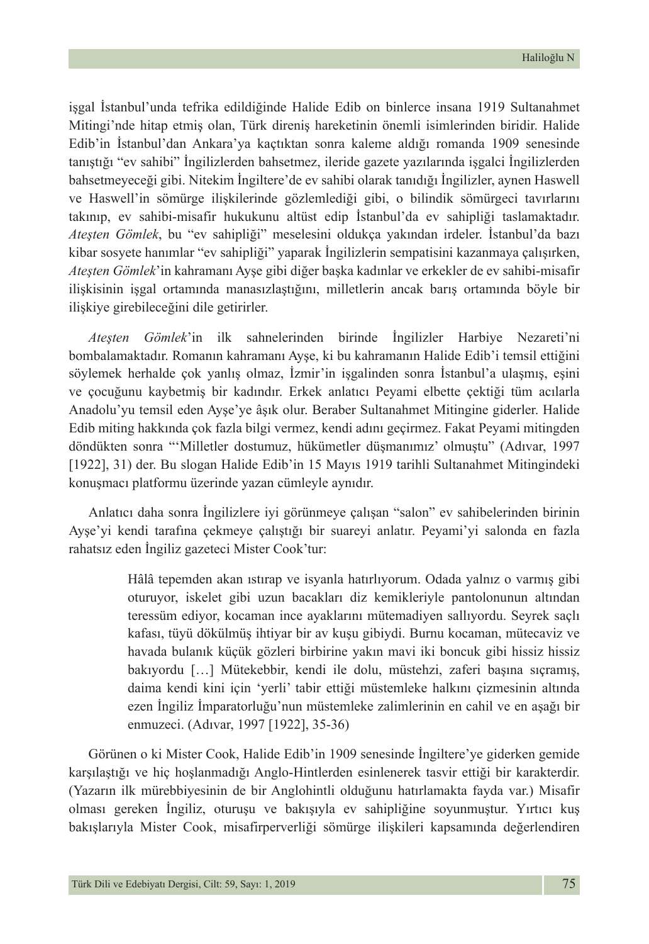işgal İstanbul'unda tefrika edildiğinde Halide Edib on binlerce insana 1919 Sultanahmet Mitingi'nde hitap etmiş olan, Türk direniş hareketinin önemli isimlerinden biridir. Halide Edib'in İstanbul'dan Ankara'ya kaçtıktan sonra kaleme aldığı romanda 1909 senesinde tanıştığı "ev sahibi" İngilizlerden bahsetmez, ileride gazete yazılarında işgalci İngilizlerden bahsetmeyeceği gibi. Nitekim İngiltere'de ev sahibi olarak tanıdığı İngilizler, aynen Haswell ve Haswell'in sömürge ilişkilerinde gözlemlediği gibi, o bilindik sömürgeci tavırlarını takınıp, ev sahibi-misafir hukukunu altüst edip İstanbul'da ev sahipliği taslamaktadır. *Ateşten Gömlek*, bu "ev sahipliği" meselesini oldukça yakından irdeler. İstanbul'da bazı kibar sosyete hanımlar "ev sahipliği" yaparak İngilizlerin sempatisini kazanmaya çalışırken, *Ateşten Gömlek*'in kahramanı Ayşe gibi diğer başka kadınlar ve erkekler de ev sahibi-misafir ilişkisinin işgal ortamında manasızlaştığını, milletlerin ancak barış ortamında böyle bir ilişkiye girebileceğini dile getirirler.

*Ateşten Gömlek*'in ilk sahnelerinden birinde İngilizler Harbiye Nezareti'ni bombalamaktadır. Romanın kahramanı Ayşe, ki bu kahramanın Halide Edib'i temsil ettiğini söylemek herhalde çok yanlış olmaz, İzmir'in işgalinden sonra İstanbul'a ulaşmış, eşini ve çocuğunu kaybetmiş bir kadındır. Erkek anlatıcı Peyami elbette çektiği tüm acılarla Anadolu'yu temsil eden Ayşe'ye âşık olur. Beraber Sultanahmet Mitingine giderler. Halide Edib miting hakkında çok fazla bilgi vermez, kendi adını geçirmez. Fakat Peyami mitingden döndükten sonra "'Milletler dostumuz, hükümetler düşmanımız' olmuştu" (Adıvar, 1997 [1922], 31) der. Bu slogan Halide Edib'in 15 Mayıs 1919 tarihli Sultanahmet Mitingindeki konuşmacı platformu üzerinde yazan cümleyle aynıdır.

Anlatıcı daha sonra İngilizlere iyi görünmeye çalışan "salon" ev sahibelerinden birinin Ayşe'yi kendi tarafına çekmeye çalıştığı bir suareyi anlatır. Peyami'yi salonda en fazla rahatsız eden İngiliz gazeteci Mister Cook'tur:

> Hâlâ tepemden akan ıstırap ve isyanla hatırlıyorum. Odada yalnız o varmış gibi oturuyor, iskelet gibi uzun bacakları diz kemikleriyle pantolonunun altından teressüm ediyor, kocaman ince ayaklarını mütemadiyen sallıyordu. Seyrek saçlı kafası, tüyü dökülmüş ihtiyar bir av kuşu gibiydi. Burnu kocaman, mütecaviz ve havada bulanık küçük gözleri birbirine yakın mavi iki boncuk gibi hissiz hissiz bakıyordu […] Mütekebbir, kendi ile dolu, müstehzi, zaferi başına sıçramış, daima kendi kini için 'yerli' tabir ettiği müstemleke halkını çizmesinin altında ezen İngiliz İmparatorluğu'nun müstemleke zalimlerinin en cahil ve en aşağı bir enmuzeci. (Adıvar, 1997 [1922], 35-36)

Görünen o ki Mister Cook, Halide Edib'in 1909 senesinde İngiltere'ye giderken gemide karşılaştığı ve hiç hoşlanmadığı Anglo-Hintlerden esinlenerek tasvir ettiği bir karakterdir. (Yazarın ilk mürebbiyesinin de bir Anglohintli olduğunu hatırlamakta fayda var.) Misafir olması gereken İngiliz, oturuşu ve bakışıyla ev sahipliğine soyunmuştur. Yırtıcı kuş bakışlarıyla Mister Cook, misafirperverliği sömürge ilişkileri kapsamında değerlendiren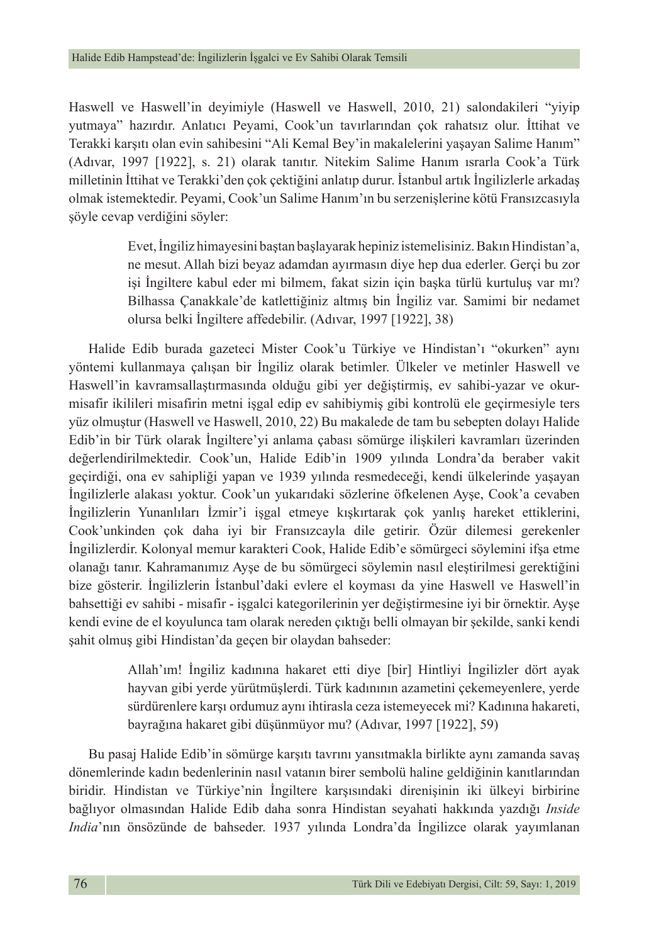Haswell ve Haswell'in deyimiyle (Haswell ve Haswell, 2010, 21) salondakileri "yiyip yutmaya" hazırdır. Anlatıcı Peyami, Cook'un tavırlarından çok rahatsız olur. İttihat ve Terakki karşıtı olan evin sahibesini "Ali Kemal Bey'in makalelerini yaşayan Salime Hanım" (Adıvar, 1997 [1922], s. 21) olarak tanıtır. Nitekim Salime Hanım ısrarla Cook'a Türk milletinin İttihat ve Terakki'den çok çektiğini anlatıp durur. İstanbul artık İngilizlerle arkadaş olmak istemektedir. Peyami, Cook'un Salime Hanım'ın bu serzenişlerine kötü Fransızcasıyla şöyle cevap verdiğini söyler:

> Evet, İngiliz himayesini baştan başlayarak hepiniz istemelisiniz. Bakın Hindistan'a, ne mesut. Allah bizi beyaz adamdan ayırmasın diye hep dua ederler. Gerçi bu zor işi İngiltere kabul eder mi bilmem, fakat sizin için başka türlü kurtuluş var mı? Bilhassa Çanakkale'de katlettiğiniz altmış bin İngiliz var. Samimi bir nedamet olursa belki İngiltere affedebilir. (Adıvar, 1997 [1922], 38)

Halide Edib burada gazeteci Mister Cook'u Türkiye ve Hindistan'ı "okurken" aynı yöntemi kullanmaya çalışan bir İngiliz olarak betimler. Ülkeler ve metinler Haswell ve Haswell'in kavramsallaştırmasında olduğu gibi yer değiştirmiş, ev sahibi-yazar ve okurmisafir ikilileri misafirin metni işgal edip ev sahibiymiş gibi kontrolü ele geçirmesiyle ters yüz olmuştur (Haswell ve Haswell, 2010, 22) Bu makalede de tam bu sebepten dolayı Halide Edib'in bir Türk olarak İngiltere'yi anlama çabası sömürge ilişkileri kavramları üzerinden değerlendirilmektedir. Cook'un, Halide Edib'in 1909 yılında Londra'da beraber vakit geçirdiği, ona ev sahipliği yapan ve 1939 yılında resmedeceği, kendi ülkelerinde yaşayan İngilizlerle alakası yoktur. Cook'un yukarıdaki sözlerine öfkelenen Ayşe, Cook'a cevaben İngilizlerin Yunanlıları İzmir'i işgal etmeye kışkırtarak çok yanlış hareket ettiklerini, Cook'unkinden çok daha iyi bir Fransızcayla dile getirir. Özür dilemesi gerekenler İngilizlerdir. Kolonyal memur karakteri Cook, Halide Edib'e sömürgeci söylemini ifşa etme olanağı tanır. Kahramanımız Ayşe de bu sömürgeci söylemin nasıl eleştirilmesi gerektiğini bize gösterir. İngilizlerin İstanbul'daki evlere el koyması da yine Haswell ve Haswell'in bahsettiği ev sahibi - misafir - işgalci kategorilerinin yer değiştirmesine iyi bir örnektir. Ayşe kendi evine de el koyulunca tam olarak nereden çıktığı belli olmayan bir şekilde, sanki kendi şahit olmuş gibi Hindistan'da geçen bir olaydan bahseder:

> Allah'ım! İngiliz kadınına hakaret etti diye [bir] Hintliyi İngilizler dört ayak hayvan gibi yerde yürütmüşlerdi. Türk kadınının azametini çekemeyenlere, yerde sürdürenlere karşı ordumuz aynı ihtirasla ceza istemeyecek mi? Kadınına hakareti, bayrağına hakaret gibi düşünmüyor mu? (Adıvar, 1997 [1922], 59)

Bu pasaj Halide Edib'in sömürge karşıtı tavrını yansıtmakla birlikte aynı zamanda savaş dönemlerinde kadın bedenlerinin nasıl vatanın birer sembolü haline geldiğinin kanıtlarından biridir. Hindistan ve Türkiye'nin İngiltere karşısındaki direnişinin iki ülkeyi birbirine bağlıyor olmasından Halide Edib daha sonra Hindistan seyahati hakkında yazdığı *Inside India*'nın önsözünde de bahseder. 1937 yılında Londra'da İngilizce olarak yayımlanan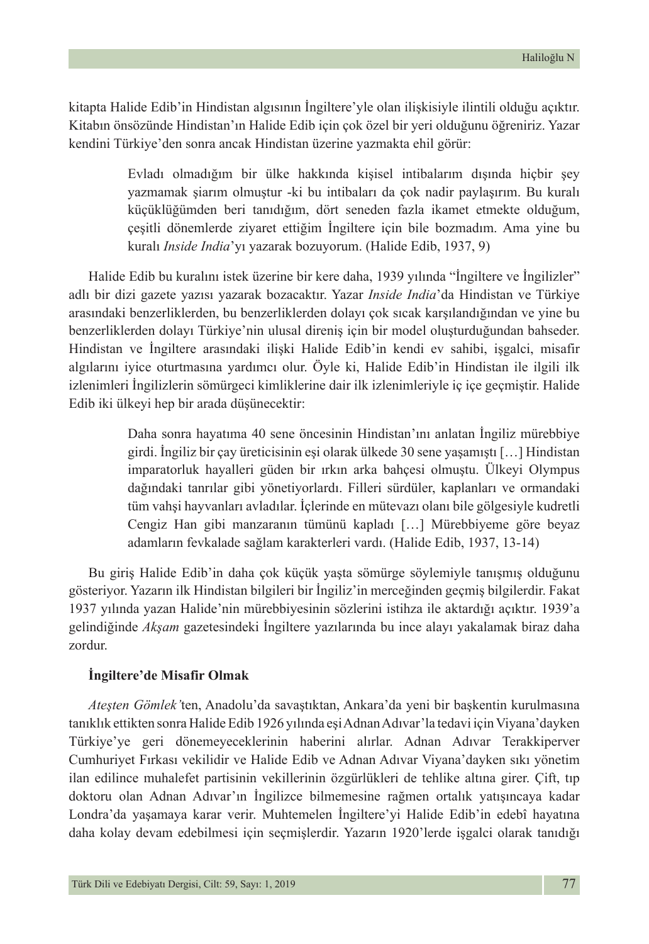kitapta Halide Edib'in Hindistan algısının İngiltere'yle olan ilişkisiyle ilintili olduğu açıktır. Kitabın önsözünde Hindistan'ın Halide Edib için çok özel bir yeri olduğunu öğreniriz. Yazar kendini Türkiye'den sonra ancak Hindistan üzerine yazmakta ehil görür:

> Evladı olmadığım bir ülke hakkında kişisel intibalarım dışında hiçbir şey yazmamak şiarım olmuştur -ki bu intibaları da çok nadir paylaşırım. Bu kuralı küçüklüğümden beri tanıdığım, dört seneden fazla ikamet etmekte olduğum, çeşitli dönemlerde ziyaret ettiğim İngiltere için bile bozmadım. Ama yine bu kuralı *Inside India*'yı yazarak bozuyorum. (Halide Edib, 1937, 9)

Halide Edib bu kuralını istek üzerine bir kere daha, 1939 yılında "İngiltere ve İngilizler" adlı bir dizi gazete yazısı yazarak bozacaktır. Yazar *Inside India*'da Hindistan ve Türkiye arasındaki benzerliklerden, bu benzerliklerden dolayı çok sıcak karşılandığından ve yine bu benzerliklerden dolayı Türkiye'nin ulusal direniş için bir model oluşturduğundan bahseder. Hindistan ve İngiltere arasındaki ilişki Halide Edib'in kendi ev sahibi, işgalci, misafir algılarını iyice oturtmasına yardımcı olur. Öyle ki, Halide Edib'in Hindistan ile ilgili ilk izlenimleri İngilizlerin sömürgeci kimliklerine dair ilk izlenimleriyle iç içe geçmiştir. Halide Edib iki ülkeyi hep bir arada düşünecektir:

> Daha sonra hayatıma 40 sene öncesinin Hindistan'ını anlatan İngiliz mürebbiye girdi. İngiliz bir çay üreticisinin eşi olarak ülkede 30 sene yaşamıştı […] Hindistan imparatorluk hayalleri güden bir ırkın arka bahçesi olmuştu. Ülkeyi Olympus dağındaki tanrılar gibi yönetiyorlardı. Filleri sürdüler, kaplanları ve ormandaki tüm vahşi hayvanları avladılar. İçlerinde en mütevazı olanı bile gölgesiyle kudretli Cengiz Han gibi manzaranın tümünü kapladı […] Mürebbiyeme göre beyaz adamların fevkalade sağlam karakterleri vardı. (Halide Edib, 1937, 13-14)

Bu giriş Halide Edib'in daha çok küçük yaşta sömürge söylemiyle tanışmış olduğunu gösteriyor. Yazarın ilk Hindistan bilgileri bir İngiliz'in merceğinden geçmiş bilgilerdir. Fakat 1937 yılında yazan Halide'nin mürebbiyesinin sözlerini istihza ile aktardığı açıktır. 1939'a gelindiğinde *Akşam* gazetesindeki İngiltere yazılarında bu ince alayı yakalamak biraz daha zordur.

#### **İngiltere'de Misafir Olmak**

*Ateşten Gömlek'*ten, Anadolu'da savaştıktan, Ankara'da yeni bir başkentin kurulmasına tanıklık ettikten sonra Halide Edib 1926 yılında eşi Adnan Adıvar'la tedavi için Viyana'dayken Türkiye'ye geri dönemeyeceklerinin haberini alırlar. Adnan Adıvar Terakkiperver Cumhuriyet Fırkası vekilidir ve Halide Edib ve Adnan Adıvar Viyana'dayken sıkı yönetim ilan edilince muhalefet partisinin vekillerinin özgürlükleri de tehlike altına girer. Çift, tıp doktoru olan Adnan Adıvar'ın İngilizce bilmemesine rağmen ortalık yatışıncaya kadar Londra'da yaşamaya karar verir. Muhtemelen İngiltere'yi Halide Edib'in edebî hayatına daha kolay devam edebilmesi için seçmişlerdir. Yazarın 1920'lerde işgalci olarak tanıdığı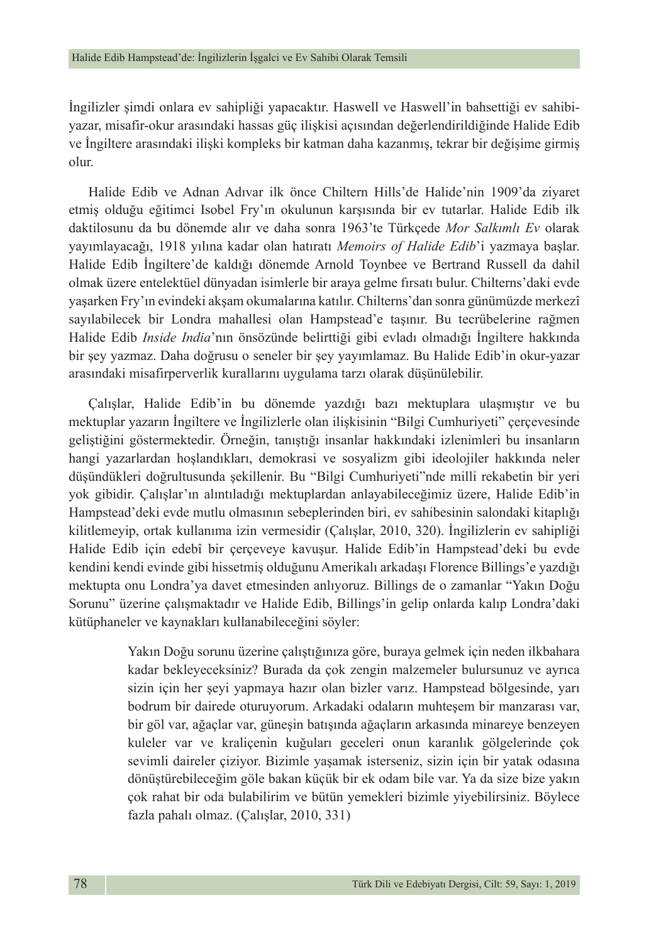İngilizler şimdi onlara ev sahipliği yapacaktır. Haswell ve Haswell'in bahsettiği ev sahibiyazar, misafir-okur arasındaki hassas güç ilişkisi açısından değerlendirildiğinde Halide Edib ve İngiltere arasındaki ilişki kompleks bir katman daha kazanmış, tekrar bir değişime girmiş olur.

Halide Edib ve Adnan Adıvar ilk önce Chiltern Hills'de Halide'nin 1909'da ziyaret etmiş olduğu eğitimci Isobel Fry'ın okulunun karşısında bir ev tutarlar. Halide Edib ilk daktilosunu da bu dönemde alır ve daha sonra 1963'te Türkçede *Mor Salkımlı Ev* olarak yayımlayacağı, 1918 yılına kadar olan hatıratı *Memoirs of Halide Edib*'i yazmaya başlar. Halide Edib İngiltere'de kaldığı dönemde Arnold Toynbee ve Bertrand Russell da dahil olmak üzere entelektüel dünyadan isimlerle bir araya gelme fırsatı bulur. Chilterns'daki evde yaşarken Fry'ın evindeki akşam okumalarına katılır. Chilterns'dan sonra günümüzde merkezî sayılabilecek bir Londra mahallesi olan Hampstead'e taşınır. Bu tecrübelerine rağmen Halide Edib *Inside India*'nın önsözünde belirttiği gibi evladı olmadığı İngiltere hakkında bir şey yazmaz. Daha doğrusu o seneler bir şey yayımlamaz. Bu Halide Edib'in okur-yazar arasındaki misafirperverlik kurallarını uygulama tarzı olarak düşünülebilir.

Çalışlar, Halide Edib'in bu dönemde yazdığı bazı mektuplara ulaşmıştır ve bu mektuplar yazarın İngiltere ve İngilizlerle olan ilişkisinin "Bilgi Cumhuriyeti" çerçevesinde geliştiğini göstermektedir. Örneğin, tanıştığı insanlar hakkındaki izlenimleri bu insanların hangi yazarlardan hoşlandıkları, demokrasi ve sosyalizm gibi ideolojiler hakkında neler düşündükleri doğrultusunda şekillenir. Bu "Bilgi Cumhuriyeti"nde milli rekabetin bir yeri yok gibidir. Çalışlar'ın alıntıladığı mektuplardan anlayabileceğimiz üzere, Halide Edib'in Hampstead'deki evde mutlu olmasının sebeplerinden biri, ev sahibesinin salondaki kitaplığı kilitlemeyip, ortak kullanıma izin vermesidir (Çalışlar, 2010, 320). İngilizlerin ev sahipliği Halide Edib için edebî bir çerçeveye kavuşur. Halide Edib'in Hampstead'deki bu evde kendini kendi evinde gibi hissetmiş olduğunu Amerikalı arkadaşı Florence Billings'e yazdığı mektupta onu Londra'ya davet etmesinden anlıyoruz. Billings de o zamanlar "Yakın Doğu Sorunu" üzerine çalışmaktadır ve Halide Edib, Billings'in gelip onlarda kalıp Londra'daki kütüphaneler ve kaynakları kullanabileceğini söyler:

> Yakın Doğu sorunu üzerine çalıştığınıza göre, buraya gelmek için neden ilkbahara kadar bekleyeceksiniz? Burada da çok zengin malzemeler bulursunuz ve ayrıca sizin için her şeyi yapmaya hazır olan bizler varız. Hampstead bölgesinde, yarı bodrum bir dairede oturuyorum. Arkadaki odaların muhteşem bir manzarası var, bir göl var, ağaçlar var, güneşin batışında ağaçların arkasında minareye benzeyen kuleler var ve kraliçenin kuğuları geceleri onun karanlık gölgelerinde çok sevimli daireler çiziyor. Bizimle yaşamak isterseniz, sizin için bir yatak odasına dönüştürebileceğim göle bakan küçük bir ek odam bile var. Ya da size bize yakın çok rahat bir oda bulabilirim ve bütün yemekleri bizimle yiyebilirsiniz. Böylece fazla pahalı olmaz. (Çalışlar, 2010, 331)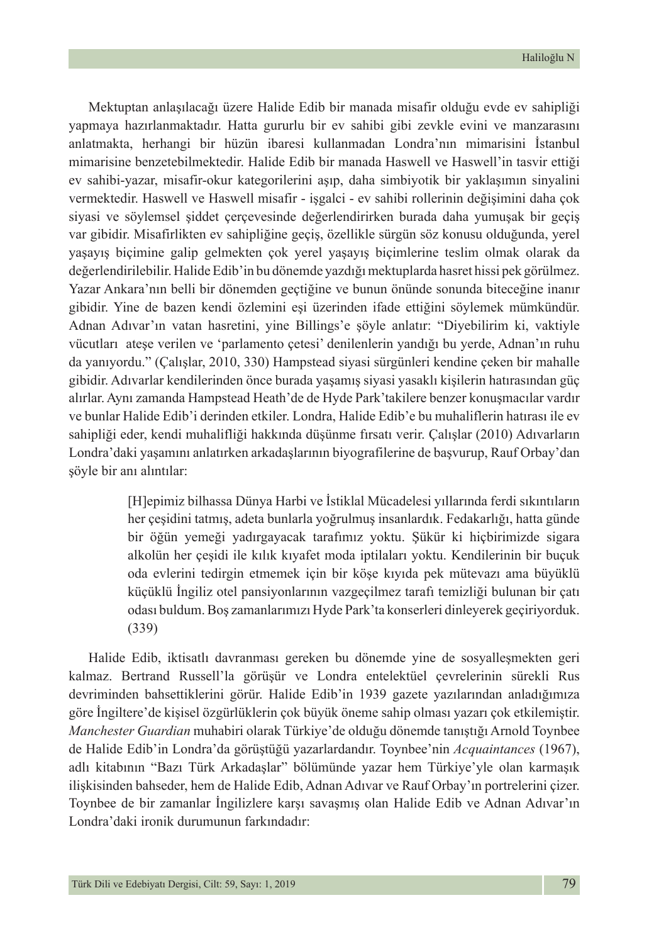Mektuptan anlaşılacağı üzere Halide Edib bir manada misafir olduğu evde ev sahipliği yapmaya hazırlanmaktadır. Hatta gururlu bir ev sahibi gibi zevkle evini ve manzarasını anlatmakta, herhangi bir hüzün ibaresi kullanmadan Londra'nın mimarisini İstanbul mimarisine benzetebilmektedir. Halide Edib bir manada Haswell ve Haswell'in tasvir ettiği ev sahibi-yazar, misafir-okur kategorilerini aşıp, daha simbiyotik bir yaklaşımın sinyalini vermektedir. Haswell ve Haswell misafir - işgalci - ev sahibi rollerinin değişimini daha çok siyasi ve söylemsel şiddet çerçevesinde değerlendirirken burada daha yumuşak bir geçiş var gibidir. Misafirlikten ev sahipliğine geçiş, özellikle sürgün söz konusu olduğunda, yerel yaşayış biçimine galip gelmekten çok yerel yaşayış biçimlerine teslim olmak olarak da değerlendirilebilir. Halide Edib'in bu dönemde yazdığı mektuplarda hasret hissi pek görülmez. Yazar Ankara'nın belli bir dönemden geçtiğine ve bunun önünde sonunda biteceğine inanır gibidir. Yine de bazen kendi özlemini eşi üzerinden ifade ettiğini söylemek mümkündür. Adnan Adıvar'ın vatan hasretini, yine Billings'e şöyle anlatır: "Diyebilirim ki, vaktiyle vücutları ateşe verilen ve 'parlamento çetesi' denilenlerin yandığı bu yerde, Adnan'ın ruhu da yanıyordu." (Çalışlar, 2010, 330) Hampstead siyasi sürgünleri kendine çeken bir mahalle gibidir. Adıvarlar kendilerinden önce burada yaşamış siyasi yasaklı kişilerin hatırasından güç alırlar. Aynı zamanda Hampstead Heath'de de Hyde Park'takilere benzer konuşmacılar vardır ve bunlar Halide Edib'i derinden etkiler. Londra, Halide Edib'e bu muhaliflerin hatırası ile ev sahipliği eder, kendi muhalifliği hakkında düşünme fırsatı verir. Çalışlar (2010) Adıvarların Londra'daki yaşamını anlatırken arkadaşlarının biyografilerine de başvurup, Rauf Orbay'dan şöyle bir anı alıntılar:

> [H]epimiz bilhassa Dünya Harbi ve İstiklal Mücadelesi yıllarında ferdi sıkıntıların her çeşidini tatmış, adeta bunlarla yoğrulmuş insanlardık. Fedakarlığı, hatta günde bir öğün yemeği yadırgayacak tarafımız yoktu. Şükür ki hiçbirimizde sigara alkolün her çeşidi ile kılık kıyafet moda iptilaları yoktu. Kendilerinin bir buçuk oda evlerini tedirgin etmemek için bir köşe kıyıda pek mütevazı ama büyüklü küçüklü İngiliz otel pansiyonlarının vazgeçilmez tarafı temizliği bulunan bir çatı odası buldum. Boş zamanlarımızı Hyde Park'ta konserleri dinleyerek geçiriyorduk. (339)

Halide Edib, iktisatlı davranması gereken bu dönemde yine de sosyalleşmekten geri kalmaz. Bertrand Russell'la görüşür ve Londra entelektüel çevrelerinin sürekli Rus devriminden bahsettiklerini görür. Halide Edib'in 1939 gazete yazılarından anladığımıza göre İngiltere'de kişisel özgürlüklerin çok büyük öneme sahip olması yazarı çok etkilemiştir. *Manchester Guardian* muhabiri olarak Türkiye'de olduğu dönemde tanıştığı Arnold Toynbee de Halide Edib'in Londra'da görüştüğü yazarlardandır. Toynbee'nin *Acquaintances* (1967), adlı kitabının "Bazı Türk Arkadaşlar" bölümünde yazar hem Türkiye'yle olan karmaşık ilişkisinden bahseder, hem de Halide Edib, Adnan Adıvar ve Rauf Orbay'ın portrelerini çizer. Toynbee de bir zamanlar İngilizlere karşı savaşmış olan Halide Edib ve Adnan Adıvar'ın Londra'daki ironik durumunun farkındadır: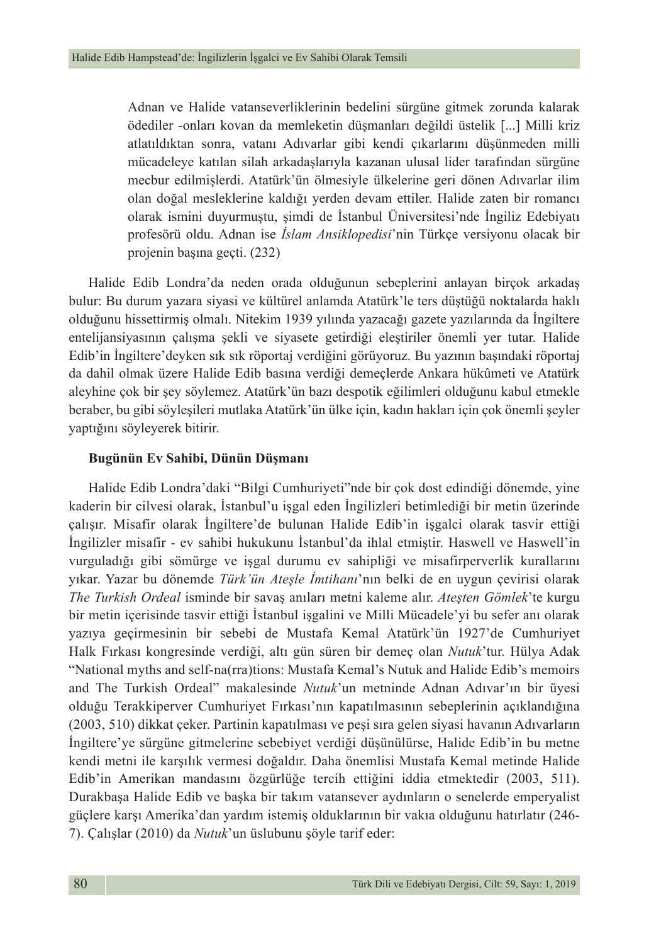Adnan ve Halide vatanseverliklerinin bedelini sürgüne gitmek zorunda kalarak ödediler -onları kovan da memleketin düşmanları değildi üstelik [...] Milli kriz atlatıldıktan sonra, vatanı Adıvarlar gibi kendi çıkarlarını düşünmeden milli mücadeleye katılan silah arkadaşlarıyla kazanan ulusal lider tarafından sürgüne mecbur edilmişlerdi. Atatürk'ün ölmesiyle ülkelerine geri dönen Adıvarlar ilim olan doğal mesleklerine kaldığı yerden devam ettiler. Halide zaten bir romancı olarak ismini duyurmuştu, şimdi de İstanbul Üniversitesi'nde İngiliz Edebiyatı profesörü oldu. Adnan ise *İslam Ansiklopedisi*'nin Türkçe versiyonu olacak bir projenin başına geçti. (232)

Halide Edib Londra'da neden orada olduğunun sebeplerini anlayan birçok arkadaş bulur: Bu durum yazara siyasi ve kültürel anlamda Atatürk'le ters düştüğü noktalarda haklı olduğunu hissettirmiş olmalı. Nitekim 1939 yılında yazacağı gazete yazılarında da İngiltere entelijansiyasının çalışma şekli ve siyasete getirdiği eleştiriler önemli yer tutar. Halide Edib'in İngiltere'deyken sık sık röportaj verdiğini görüyoruz. Bu yazının başındaki röportaj da dahil olmak üzere Halide Edib basına verdiği demeçlerde Ankara hükûmeti ve Atatürk aleyhine çok bir şey söylemez. Atatürk'ün bazı despotik eğilimleri olduğunu kabul etmekle beraber, bu gibi söyleşileri mutlaka Atatürk'ün ülke için, kadın hakları için çok önemli şeyler yaptığını söyleyerek bitirir.

#### **Bugünün Ev Sahibi, Dünün Düşmanı**

Halide Edib Londra'daki "Bilgi Cumhuriyeti"nde bir çok dost edindiği dönemde, yine kaderin bir cilvesi olarak, İstanbul'u işgal eden İngilizleri betimlediği bir metin üzerinde çalışır. Misafir olarak İngiltere'de bulunan Halide Edib'in işgalci olarak tasvir ettiği İngilizler misafir - ev sahibi hukukunu İstanbul'da ihlal etmiştir. Haswell ve Haswell'in vurguladığı gibi sömürge ve işgal durumu ev sahipliği ve misafirperverlik kurallarını yıkar. Yazar bu dönemde *Türk'ün Ateşle İmtihanı*'nın belki de en uygun çevirisi olarak *The Turkish Ordeal* isminde bir savaş anıları metni kaleme alır. *Ateşten Gömlek*'te kurgu bir metin içerisinde tasvir ettiği İstanbul işgalini ve Milli Mücadele'yi bu sefer anı olarak yazıya geçirmesinin bir sebebi de Mustafa Kemal Atatürk'ün 1927'de Cumhuriyet Halk Fırkası kongresinde verdiği, altı gün süren bir demeç olan *Nutuk*'tur. Hülya Adak "National myths and self-na(rra)tions: Mustafa Kemal's Nutuk and Halide Edib's memoirs and The Turkish Ordeal" makalesinde *Nutuk*'un metninde Adnan Adıvar'ın bir üyesi olduğu Terakkiperver Cumhuriyet Fırkası'nın kapatılmasının sebeplerinin açıklandığına (2003, 510) dikkat çeker. Partinin kapatılması ve peşi sıra gelen siyasi havanın Adıvarların İngiltere'ye sürgüne gitmelerine sebebiyet verdiği düşünülürse, Halide Edib'in bu metne kendi metni ile karşılık vermesi doğaldır. Daha önemlisi Mustafa Kemal metinde Halide Edib'in Amerikan mandasını özgürlüğe tercih ettiğini iddia etmektedir (2003, 511). Durakbaşa Halide Edib ve başka bir takım vatansever aydınların o senelerde emperyalist güçlere karşı Amerika'dan yardım istemiş olduklarının bir vakıa olduğunu hatırlatır (246- 7). Çalışlar (2010) da *Nutuk*'un üslubunu şöyle tarif eder: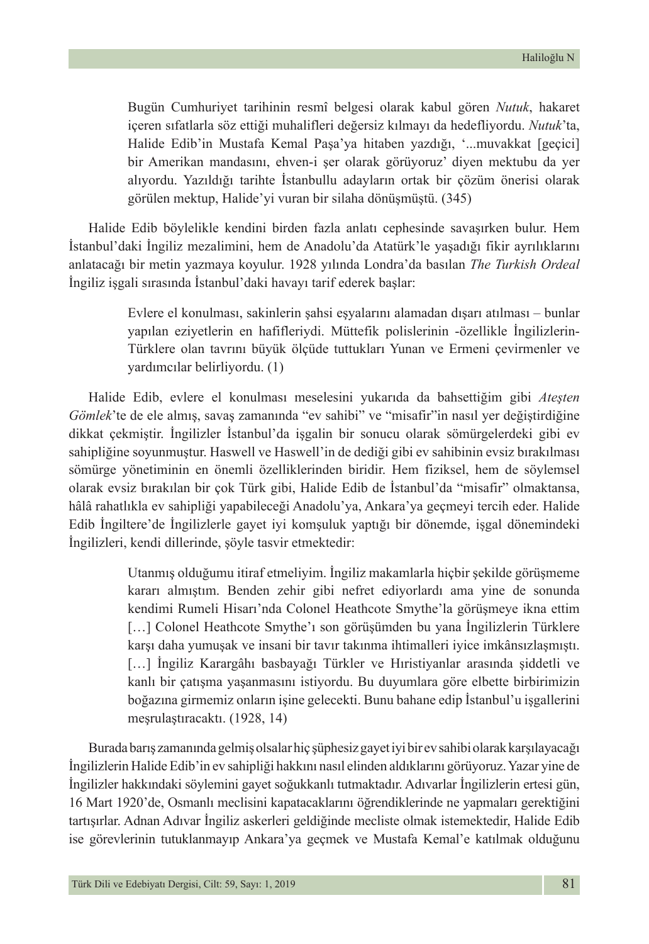Bugün Cumhuriyet tarihinin resmî belgesi olarak kabul gören *Nutuk*, hakaret içeren sıfatlarla söz ettiği muhalifleri değersiz kılmayı da hedefliyordu. *Nutuk*'ta, Halide Edib'in Mustafa Kemal Paşa'ya hitaben yazdığı, '...muvakkat [geçici] bir Amerikan mandasını, ehven-i şer olarak görüyoruz' diyen mektubu da yer alıyordu. Yazıldığı tarihte İstanbullu adayların ortak bir çözüm önerisi olarak görülen mektup, Halide'yi vuran bir silaha dönüşmüştü. (345)

Halide Edib böylelikle kendini birden fazla anlatı cephesinde savaşırken bulur. Hem İstanbul'daki İngiliz mezalimini, hem de Anadolu'da Atatürk'le yaşadığı fikir ayrılıklarını anlatacağı bir metin yazmaya koyulur. 1928 yılında Londra'da basılan *The Turkish Ordeal* İngiliz işgali sırasında İstanbul'daki havayı tarif ederek başlar:

> Evlere el konulması, sakinlerin şahsi eşyalarını alamadan dışarı atılması – bunlar yapılan eziyetlerin en hafifleriydi. Müttefik polislerinin -özellikle İngilizlerin-Türklere olan tavrını büyük ölçüde tuttukları Yunan ve Ermeni çevirmenler ve yardımcılar belirliyordu. (1)

Halide Edib, evlere el konulması meselesini yukarıda da bahsettiğim gibi *Ateşten Gömlek*'te de ele almış, savaş zamanında "ev sahibi" ve "misafir"in nasıl yer değiştirdiğine dikkat çekmiştir. İngilizler İstanbul'da işgalin bir sonucu olarak sömürgelerdeki gibi ev sahipliğine soyunmuştur. Haswell ve Haswell'in de dediği gibi ev sahibinin evsiz bırakılması sömürge yönetiminin en önemli özelliklerinden biridir. Hem fiziksel, hem de söylemsel olarak evsiz bırakılan bir çok Türk gibi, Halide Edib de İstanbul'da "misafir" olmaktansa, hâlâ rahatlıkla ev sahipliği yapabileceği Anadolu'ya, Ankara'ya geçmeyi tercih eder. Halide Edib İngiltere'de İngilizlerle gayet iyi komşuluk yaptığı bir dönemde, işgal dönemindeki İngilizleri, kendi dillerinde, şöyle tasvir etmektedir:

> Utanmış olduğumu itiraf etmeliyim. İngiliz makamlarla hiçbir şekilde görüşmeme kararı almıştım. Benden zehir gibi nefret ediyorlardı ama yine de sonunda kendimi Rumeli Hisarı'nda Colonel Heathcote Smythe'la görüşmeye ikna ettim […] Colonel Heathcote Smythe'ı son görüşümden bu yana İngilizlerin Türklere karşı daha yumuşak ve insani bir tavır takınma ihtimalleri iyice imkânsızlaşmıştı. […] İngiliz Karargâhı basbayağı Türkler ve Hıristiyanlar arasında şiddetli ve kanlı bir çatışma yaşanmasını istiyordu. Bu duyumlara göre elbette birbirimizin boğazına girmemiz onların işine gelecekti. Bunu bahane edip İstanbul'u işgallerini meşrulaştıracaktı. (1928, 14)

Burada barış zamanında gelmiş olsalar hiç şüphesiz gayet iyi bir ev sahibi olarak karşılayacağı İngilizlerin Halide Edib'in ev sahipliği hakkını nasıl elinden aldıklarını görüyoruz. Yazar yine de İngilizler hakkındaki söylemini gayet soğukkanlı tutmaktadır. Adıvarlar İngilizlerin ertesi gün, 16 Mart 1920'de, Osmanlı meclisini kapatacaklarını öğrendiklerinde ne yapmaları gerektiğini tartışırlar. Adnan Adıvar İngiliz askerleri geldiğinde mecliste olmak istemektedir, Halide Edib ise görevlerinin tutuklanmayıp Ankara'ya geçmek ve Mustafa Kemal'e katılmak olduğunu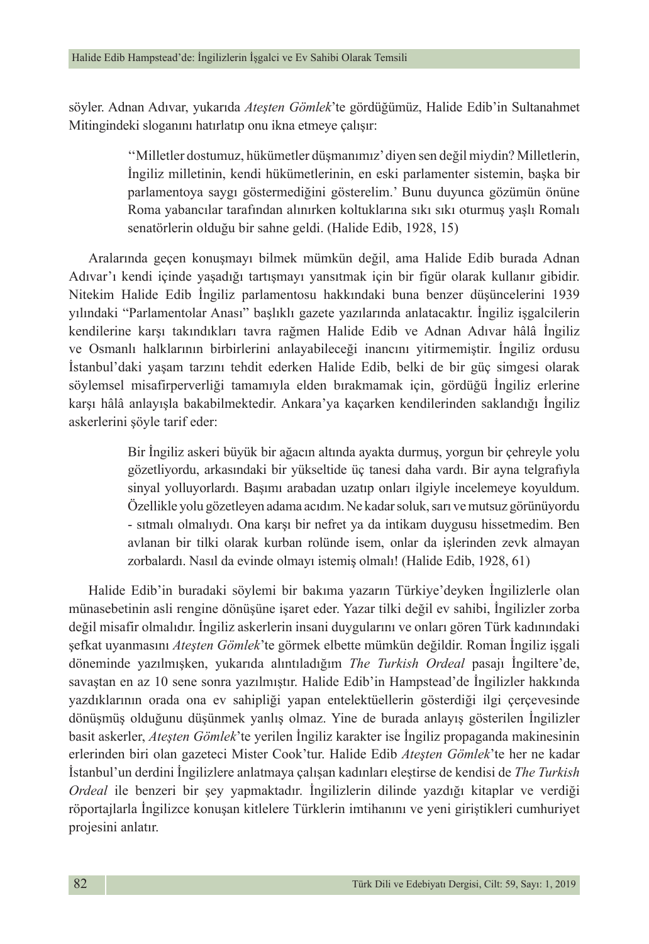söyler. Adnan Adıvar, yukarıda *Ateşten Gömlek*'te gördüğümüz, Halide Edib'in Sultanahmet Mitingindeki sloganını hatırlatıp onu ikna etmeye çalışır:

> ''Milletler dostumuz, hükümetler düşmanımız' diyen sen değil miydin? Milletlerin, İngiliz milletinin, kendi hükümetlerinin, en eski parlamenter sistemin, başka bir parlamentoya saygı göstermediğini gösterelim.' Bunu duyunca gözümün önüne Roma yabancılar tarafından alınırken koltuklarına sıkı sıkı oturmuş yaşlı Romalı senatörlerin olduğu bir sahne geldi. (Halide Edib, 1928, 15)

Aralarında geçen konuşmayı bilmek mümkün değil, ama Halide Edib burada Adnan Adıvar'ı kendi içinde yaşadığı tartışmayı yansıtmak için bir figür olarak kullanır gibidir. Nitekim Halide Edib İngiliz parlamentosu hakkındaki buna benzer düşüncelerini 1939 yılındaki "Parlamentolar Anası" başlıklı gazete yazılarında anlatacaktır. İngiliz işgalcilerin kendilerine karşı takındıkları tavra rağmen Halide Edib ve Adnan Adıvar hâlâ İngiliz ve Osmanlı halklarının birbirlerini anlayabileceği inancını yitirmemiştir. İngiliz ordusu İstanbul'daki yaşam tarzını tehdit ederken Halide Edib, belki de bir güç simgesi olarak söylemsel misafirperverliği tamamıyla elden bırakmamak için, gördüğü İngiliz erlerine karşı hâlâ anlayışla bakabilmektedir. Ankara'ya kaçarken kendilerinden saklandığı İngiliz askerlerini şöyle tarif eder:

> Bir İngiliz askeri büyük bir ağacın altında ayakta durmuş, yorgun bir çehreyle yolu gözetliyordu, arkasındaki bir yükseltide üç tanesi daha vardı. Bir ayna telgrafıyla sinyal yolluyorlardı. Başımı arabadan uzatıp onları ilgiyle incelemeye koyuldum. Özellikle yolu gözetleyen adama acıdım. Ne kadar soluk, sarı ve mutsuz görünüyordu - sıtmalı olmalıydı. Ona karşı bir nefret ya da intikam duygusu hissetmedim. Ben avlanan bir tilki olarak kurban rolünde isem, onlar da işlerinden zevk almayan zorbalardı. Nasıl da evinde olmayı istemiş olmalı! (Halide Edib, 1928, 61)

Halide Edib'in buradaki söylemi bir bakıma yazarın Türkiye'deyken İngilizlerle olan münasebetinin asli rengine dönüşüne işaret eder. Yazar tilki değil ev sahibi, İngilizler zorba değil misafir olmalıdır. İngiliz askerlerin insani duygularını ve onları gören Türk kadınındaki şefkat uyanmasını *Ateşten Gömlek*'te görmek elbette mümkün değildir. Roman İngiliz işgali döneminde yazılmışken, yukarıda alıntıladığım *The Turkish Ordeal* pasajı İngiltere'de, savaştan en az 10 sene sonra yazılmıştır. Halide Edib'in Hampstead'de İngilizler hakkında yazdıklarının orada ona ev sahipliği yapan entelektüellerin gösterdiği ilgi çerçevesinde dönüşmüş olduğunu düşünmek yanlış olmaz. Yine de burada anlayış gösterilen İngilizler basit askerler, *Ateşten Gömlek*'te yerilen İngiliz karakter ise İngiliz propaganda makinesinin erlerinden biri olan gazeteci Mister Cook'tur. Halide Edib *Ateşten Gömlek*'te her ne kadar İstanbul'un derdini İngilizlere anlatmaya çalışan kadınları eleştirse de kendisi de *The Turkish Ordeal* ile benzeri bir şey yapmaktadır. İngilizlerin dilinde yazdığı kitaplar ve verdiği röportajlarla İngilizce konuşan kitlelere Türklerin imtihanını ve yeni giriştikleri cumhuriyet projesini anlatır.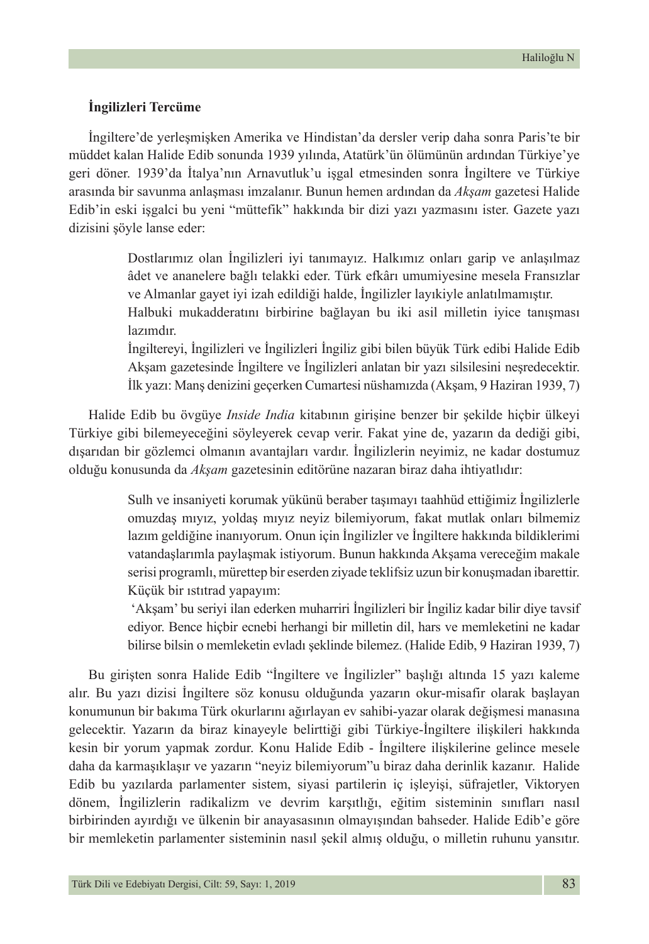### **İngilizleri Tercüme**

İngiltere'de yerleşmişken Amerika ve Hindistan'da dersler verip daha sonra Paris'te bir müddet kalan Halide Edib sonunda 1939 yılında, Atatürk'ün ölümünün ardından Türkiye'ye geri döner. 1939'da İtalya'nın Arnavutluk'u işgal etmesinden sonra İngiltere ve Türkiye arasında bir savunma anlaşması imzalanır. Bunun hemen ardından da *Akşam* gazetesi Halide Edib'in eski işgalci bu yeni "müttefik" hakkında bir dizi yazı yazmasını ister. Gazete yazı dizisini şöyle lanse eder:

> Dostlarımız olan İngilizleri iyi tanımayız. Halkımız onları garip ve anlaşılmaz âdet ve ananelere bağlı telakki eder. Türk efkârı umumiyesine mesela Fransızlar ve Almanlar gayet iyi izah edildiği halde, İngilizler layıkiyle anlatılmamıştır.

> Halbuki mukadderatını birbirine bağlayan bu iki asil milletin iyice tanışması lazımdır.

> İngiltereyi, İngilizleri ve İngilizleri İngiliz gibi bilen büyük Türk edibi Halide Edib Akşam gazetesinde İngiltere ve İngilizleri anlatan bir yazı silsilesini neşredecektir. İlk yazı: Manş denizini geçerken Cumartesi nüshamızda (Akşam, 9 Haziran 1939, 7)

Halide Edib bu övgüye *Inside India* kitabının girişine benzer bir şekilde hiçbir ülkeyi Türkiye gibi bilemeyeceğini söyleyerek cevap verir. Fakat yine de, yazarın da dediği gibi, dışarıdan bir gözlemci olmanın avantajları vardır. İngilizlerin neyimiz, ne kadar dostumuz olduğu konusunda da *Akşam* gazetesinin editörüne nazaran biraz daha ihtiyatlıdır:

> Sulh ve insaniyeti korumak yükünü beraber taşımayı taahhüd ettiğimiz İngilizlerle omuzdaş mıyız, yoldaş mıyız neyiz bilemiyorum, fakat mutlak onları bilmemiz lazım geldiğine inanıyorum. Onun için İngilizler ve İngiltere hakkında bildiklerimi vatandaşlarımla paylaşmak istiyorum. Bunun hakkında Akşama vereceğim makale serisi programlı, mürettep bir eserden ziyade teklifsiz uzun bir konuşmadan ibarettir. Küçük bir ıstıtrad yapayım:

> 'Akşam' bu seriyi ilan ederken muharriri İngilizleri bir İngiliz kadar bilir diye tavsif ediyor. Bence hiçbir ecnebi herhangi bir milletin dil, hars ve memleketini ne kadar bilirse bilsin o memleketin evladı şeklinde bilemez. (Halide Edib, 9 Haziran 1939, 7)

Bu girişten sonra Halide Edib "İngiltere ve İngilizler" başlığı altında 15 yazı kaleme alır. Bu yazı dizisi İngiltere söz konusu olduğunda yazarın okur-misafir olarak başlayan konumunun bir bakıma Türk okurlarını ağırlayan ev sahibi-yazar olarak değişmesi manasına gelecektir. Yazarın da biraz kinayeyle belirttiği gibi Türkiye-İngiltere ilişkileri hakkında kesin bir yorum yapmak zordur. Konu Halide Edib - İngiltere ilişkilerine gelince mesele daha da karmaşıklaşır ve yazarın "neyiz bilemiyorum"u biraz daha derinlik kazanır. Halide Edib bu yazılarda parlamenter sistem, siyasi partilerin iç işleyişi, süfrajetler, Viktoryen dönem, İngilizlerin radikalizm ve devrim karşıtlığı, eğitim sisteminin sınıfları nasıl birbirinden ayırdığı ve ülkenin bir anayasasının olmayışından bahseder. Halide Edib'e göre bir memleketin parlamenter sisteminin nasıl şekil almış olduğu, o milletin ruhunu yansıtır.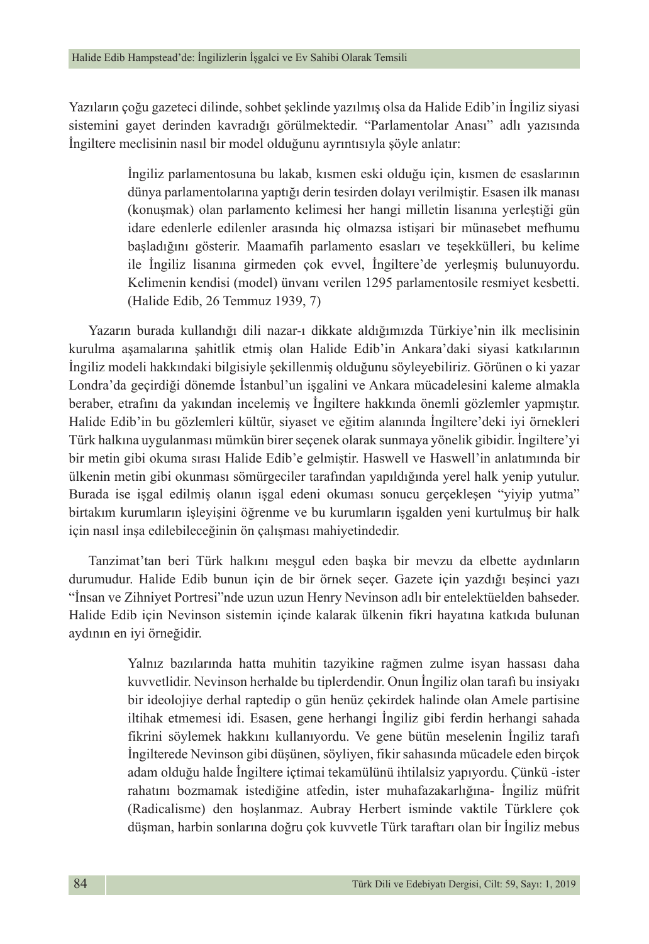Yazıların çoğu gazeteci dilinde, sohbet şeklinde yazılmış olsa da Halide Edib'in İngiliz siyasi sistemini gayet derinden kavradığı görülmektedir. "Parlamentolar Anası" adlı yazısında İngiltere meclisinin nasıl bir model olduğunu ayrıntısıyla şöyle anlatır:

> İngiliz parlamentosuna bu lakab, kısmen eski olduğu için, kısmen de esaslarının dünya parlamentolarına yaptığı derin tesirden dolayı verilmiştir. Esasen ilk manası (konuşmak) olan parlamento kelimesi her hangi milletin lisanına yerleştiği gün idare edenlerle edilenler arasında hiç olmazsa istişari bir münasebet mefhumu başladığını gösterir. Maamafih parlamento esasları ve teşekkülleri, bu kelime ile İngiliz lisanına girmeden çok evvel, İngiltere'de yerleşmiş bulunuyordu. Kelimenin kendisi (model) ünvanı verilen 1295 parlamentosile resmiyet kesbetti. (Halide Edib, 26 Temmuz 1939, 7)

Yazarın burada kullandığı dili nazar-ı dikkate aldığımızda Türkiye'nin ilk meclisinin kurulma aşamalarına şahitlik etmiş olan Halide Edib'in Ankara'daki siyasi katkılarının İngiliz modeli hakkındaki bilgisiyle şekillenmiş olduğunu söyleyebiliriz. Görünen o ki yazar Londra'da geçirdiği dönemde İstanbul'un işgalini ve Ankara mücadelesini kaleme almakla beraber, etrafını da yakından incelemiş ve İngiltere hakkında önemli gözlemler yapmıştır. Halide Edib'in bu gözlemleri kültür, siyaset ve eğitim alanında İngiltere'deki iyi örnekleri Türk halkına uygulanması mümkün birer seçenek olarak sunmaya yönelik gibidir. İngiltere'yi bir metin gibi okuma sırası Halide Edib'e gelmiştir. Haswell ve Haswell'in anlatımında bir ülkenin metin gibi okunması sömürgeciler tarafından yapıldığında yerel halk yenip yutulur. Burada ise işgal edilmiş olanın işgal edeni okuması sonucu gerçekleşen "yiyip yutma" birtakım kurumların işleyişini öğrenme ve bu kurumların işgalden yeni kurtulmuş bir halk için nasıl inşa edilebileceğinin ön çalışması mahiyetindedir.

Tanzimat'tan beri Türk halkını meşgul eden başka bir mevzu da elbette aydınların durumudur. Halide Edib bunun için de bir örnek seçer. Gazete için yazdığı beşinci yazı "İnsan ve Zihniyet Portresi"nde uzun uzun Henry Nevinson adlı bir entelektüelden bahseder. Halide Edib için Nevinson sistemin içinde kalarak ülkenin fikri hayatına katkıda bulunan aydının en iyi örneğidir.

> Yalnız bazılarında hatta muhitin tazyikine rağmen zulme isyan hassası daha kuvvetlidir. Nevinson herhalde bu tiplerdendir. Onun İngiliz olan tarafı bu insiyakı bir ideolojiye derhal raptedip o gün henüz çekirdek halinde olan Amele partisine iltihak etmemesi idi. Esasen, gene herhangi İngiliz gibi ferdin herhangi sahada fikrini söylemek hakkını kullanıyordu. Ve gene bütün meselenin İngiliz tarafı İngilterede Nevinson gibi düşünen, söyliyen, fikir sahasında mücadele eden birçok adam olduğu halde İngiltere içtimai tekamülünü ihtilalsiz yapıyordu. Çünkü -ister rahatını bozmamak istediğine atfedin, ister muhafazakarlığına- İngiliz müfrit (Radicalisme) den hoşlanmaz. Aubray Herbert isminde vaktile Türklere çok düşman, harbin sonlarına doğru çok kuvvetle Türk taraftarı olan bir İngiliz mebus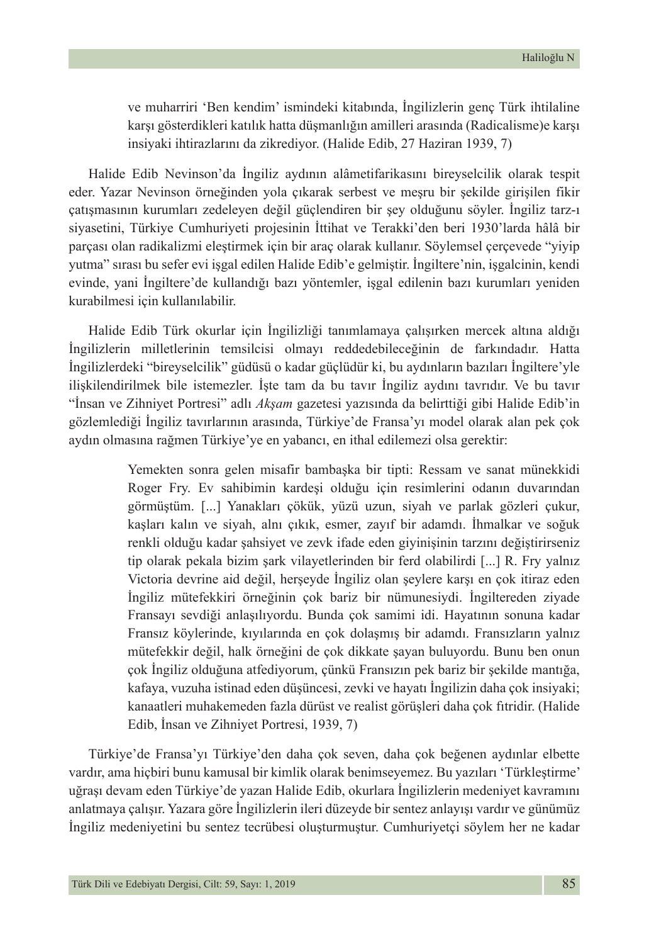ve muharriri 'Ben kendim' ismindeki kitabında, İngilizlerin genç Türk ihtilaline karşı gösterdikleri katılık hatta düşmanlığın amilleri arasında (Radicalisme)e karşı insiyaki ihtirazlarını da zikrediyor. (Halide Edib, 27 Haziran 1939, 7)

Halide Edib Nevinson'da İngiliz aydının alâmetifarikasını bireyselcilik olarak tespit eder. Yazar Nevinson örneğinden yola çıkarak serbest ve meşru bir şekilde girişilen fikir çatışmasının kurumları zedeleyen değil güçlendiren bir şey olduğunu söyler. İngiliz tarz-ı siyasetini, Türkiye Cumhuriyeti projesinin İttihat ve Terakki'den beri 1930'larda hâlâ bir parçası olan radikalizmi eleştirmek için bir araç olarak kullanır. Söylemsel çerçevede "yiyip yutma" sırası bu sefer evi işgal edilen Halide Edib'e gelmiştir. İngiltere'nin, işgalcinin, kendi evinde, yani İngiltere'de kullandığı bazı yöntemler, işgal edilenin bazı kurumları yeniden kurabilmesi için kullanılabilir.

Halide Edib Türk okurlar için İngilizliği tanımlamaya çalışırken mercek altına aldığı İngilizlerin milletlerinin temsilcisi olmayı reddedebileceğinin de farkındadır. Hatta İngilizlerdeki "bireyselcilik" güdüsü o kadar güçlüdür ki, bu aydınların bazıları İngiltere'yle ilişkilendirilmek bile istemezler. İşte tam da bu tavır İngiliz aydını tavrıdır. Ve bu tavır "İnsan ve Zihniyet Portresi" adlı *Akşam* gazetesi yazısında da belirttiği gibi Halide Edib'in gözlemlediği İngiliz tavırlarının arasında, Türkiye'de Fransa'yı model olarak alan pek çok aydın olmasına rağmen Türkiye'ye en yabancı, en ithal edilemezi olsa gerektir:

> Yemekten sonra gelen misafir bambaşka bir tipti: Ressam ve sanat münekkidi Roger Fry. Ev sahibimin kardeşi olduğu için resimlerini odanın duvarından görmüştüm. [...] Yanakları çökük, yüzü uzun, siyah ve parlak gözleri çukur, kaşları kalın ve siyah, alnı çıkık, esmer, zayıf bir adamdı. İhmalkar ve soğuk renkli olduğu kadar şahsiyet ve zevk ifade eden giyinişinin tarzını değiştirirseniz tip olarak pekala bizim şark vilayetlerinden bir ferd olabilirdi [...] R. Fry yalnız Victoria devrine aid değil, herşeyde İngiliz olan şeylere karşı en çok itiraz eden İngiliz mütefekkiri örneğinin çok bariz bir nümunesiydi. İngiltereden ziyade Fransayı sevdiği anlaşılıyordu. Bunda çok samimi idi. Hayatının sonuna kadar Fransız köylerinde, kıyılarında en çok dolaşmış bir adamdı. Fransızların yalnız mütefekkir değil, halk örneğini de çok dikkate şayan buluyordu. Bunu ben onun çok İngiliz olduğuna atfediyorum, çünkü Fransızın pek bariz bir şekilde mantığa, kafaya, vuzuha istinad eden düşüncesi, zevki ve hayatı İngilizin daha çok insiyaki; kanaatleri muhakemeden fazla dürüst ve realist görüşleri daha çok fıtridir. (Halide Edib, İnsan ve Zihniyet Portresi, 1939, 7)

Türkiye'de Fransa'yı Türkiye'den daha çok seven, daha çok beğenen aydınlar elbette vardır, ama hiçbiri bunu kamusal bir kimlik olarak benimseyemez. Bu yazıları 'Türkleştirme' uğraşı devam eden Türkiye'de yazan Halide Edib, okurlara İngilizlerin medeniyet kavramını anlatmaya çalışır. Yazara göre İngilizlerin ileri düzeyde bir sentez anlayışı vardır ve günümüz İngiliz medeniyetini bu sentez tecrübesi oluşturmuştur. Cumhuriyetçi söylem her ne kadar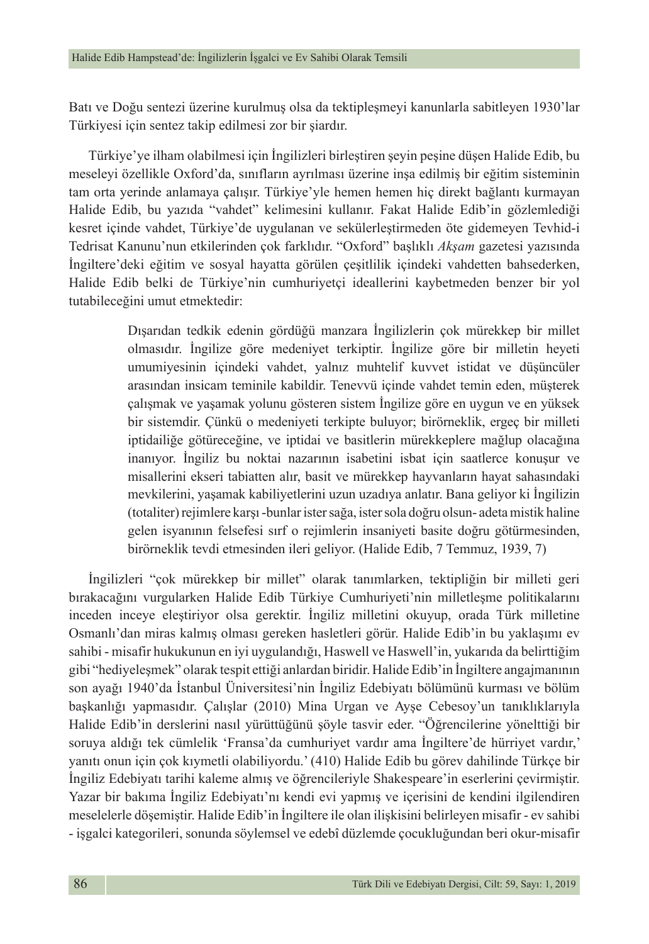Batı ve Doğu sentezi üzerine kurulmuş olsa da tektipleşmeyi kanunlarla sabitleyen 1930'lar Türkiyesi için sentez takip edilmesi zor bir şiardır.

Türkiye'ye ilham olabilmesi için İngilizleri birleştiren şeyin peşine düşen Halide Edib, bu meseleyi özellikle Oxford'da, sınıfların ayrılması üzerine inşa edilmiş bir eğitim sisteminin tam orta yerinde anlamaya çalışır. Türkiye'yle hemen hemen hiç direkt bağlantı kurmayan Halide Edib, bu yazıda "vahdet" kelimesini kullanır. Fakat Halide Edib'in gözlemlediği kesret içinde vahdet, Türkiye'de uygulanan ve sekülerleştirmeden öte gidemeyen Tevhid-i Tedrisat Kanunu'nun etkilerinden çok farklıdır. "Oxford" başlıklı *Akşam* gazetesi yazısında İngiltere'deki eğitim ve sosyal hayatta görülen çeşitlilik içindeki vahdetten bahsederken, Halide Edib belki de Türkiye'nin cumhuriyetçi ideallerini kaybetmeden benzer bir yol tutabileceğini umut etmektedir:

> Dışarıdan tedkik edenin gördüğü manzara İngilizlerin çok mürekkep bir millet olmasıdır. İngilize göre medeniyet terkiptir. İngilize göre bir milletin heyeti umumiyesinin içindeki vahdet, yalnız muhtelif kuvvet istidat ve düşüncüler arasından insicam teminile kabildir. Tenevvü içinde vahdet temin eden, müşterek çalışmak ve yaşamak yolunu gösteren sistem İngilize göre en uygun ve en yüksek bir sistemdir. Çünkü o medeniyeti terkipte buluyor; birörneklik, ergeç bir milleti iptidailiğe götüreceğine, ve iptidai ve basitlerin mürekkeplere mağlup olacağına inanıyor. İngiliz bu noktai nazarının isabetini isbat için saatlerce konuşur ve misallerini ekseri tabiatten alır, basit ve mürekkep hayvanların hayat sahasındaki mevkilerini, yaşamak kabiliyetlerini uzun uzadıya anlatır. Bana geliyor ki İngilizin (totaliter) rejimlere karşı -bunlar ister sağa, ister sola doğru olsun- adeta mistik haline gelen isyanının felsefesi sırf o rejimlerin insaniyeti basite doğru götürmesinden, birörneklik tevdi etmesinden ileri geliyor. (Halide Edib, 7 Temmuz, 1939, 7)

İngilizleri "çok mürekkep bir millet" olarak tanımlarken, tektipliğin bir milleti geri bırakacağını vurgularken Halide Edib Türkiye Cumhuriyeti'nin milletleşme politikalarını inceden inceye eleştiriyor olsa gerektir. İngiliz milletini okuyup, orada Türk milletine Osmanlı'dan miras kalmış olması gereken hasletleri görür. Halide Edib'in bu yaklaşımı ev sahibi - misafir hukukunun en iyi uygulandığı, Haswell ve Haswell'in, yukarıda da belirttiğim gibi "hediyeleşmek" olarak tespit ettiği anlardan biridir. Halide Edib'in İngiltere angajmanının son ayağı 1940'da İstanbul Üniversitesi'nin İngiliz Edebiyatı bölümünü kurması ve bölüm başkanlığı yapmasıdır. Çalışlar (2010) Mina Urgan ve Ayşe Cebesoy'un tanıklıklarıyla Halide Edib'in derslerini nasıl yürüttüğünü şöyle tasvir eder. "Öğrencilerine yönelttiği bir soruya aldığı tek cümlelik 'Fransa'da cumhuriyet vardır ama İngiltere'de hürriyet vardır,' yanıtı onun için çok kıymetli olabiliyordu.' (410) Halide Edib bu görev dahilinde Türkçe bir İngiliz Edebiyatı tarihi kaleme almış ve öğrencileriyle Shakespeare'in eserlerini çevirmiştir. Yazar bir bakıma İngiliz Edebiyatı'nı kendi evi yapmış ve içerisini de kendini ilgilendiren meselelerle döşemiştir. Halide Edib'in İngiltere ile olan ilişkisini belirleyen misafir - ev sahibi - işgalci kategorileri, sonunda söylemsel ve edebî düzlemde çocukluğundan beri okur-misafir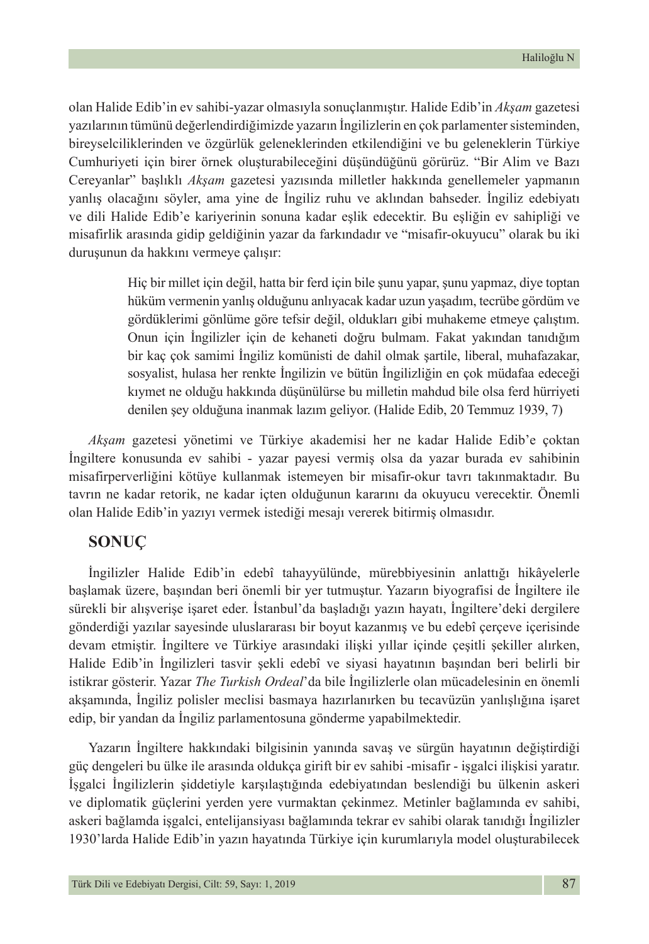olan Halide Edib'in ev sahibi-yazar olmasıyla sonuçlanmıştır. Halide Edib'in *Akşam* gazetesi yazılarının tümünü değerlendirdiğimizde yazarın İngilizlerin en çok parlamenter sisteminden, bireyselciliklerinden ve özgürlük geleneklerinden etkilendiğini ve bu geleneklerin Türkiye Cumhuriyeti için birer örnek oluşturabileceğini düşündüğünü görürüz. "Bir Alim ve Bazı Cereyanlar" başlıklı *Akşam* gazetesi yazısında milletler hakkında genellemeler yapmanın yanlış olacağını söyler, ama yine de İngiliz ruhu ve aklından bahseder. İngiliz edebiyatı ve dili Halide Edib'e kariyerinin sonuna kadar eşlik edecektir. Bu eşliğin ev sahipliği ve misafirlik arasında gidip geldiğinin yazar da farkındadır ve "misafir-okuyucu" olarak bu iki duruşunun da hakkını vermeye çalışır:

> Hiç bir millet için değil, hatta bir ferd için bile şunu yapar, şunu yapmaz, diye toptan hüküm vermenin yanlış olduğunu anlıyacak kadar uzun yaşadım, tecrübe gördüm ve gördüklerimi gönlüme göre tefsir değil, oldukları gibi muhakeme etmeye çalıştım. Onun için İngilizler için de kehaneti doğru bulmam. Fakat yakından tanıdığım bir kaç çok samimi İngiliz komünisti de dahil olmak şartile, liberal, muhafazakar, sosyalist, hulasa her renkte İngilizin ve bütün İngilizliğin en çok müdafaa edeceği kıymet ne olduğu hakkında düşünülürse bu milletin mahdud bile olsa ferd hürriyeti denilen şey olduğuna inanmak lazım geliyor. (Halide Edib, 20 Temmuz 1939, 7)

*Akşam* gazetesi yönetimi ve Türkiye akademisi her ne kadar Halide Edib'e çoktan İngiltere konusunda ev sahibi - yazar payesi vermiş olsa da yazar burada ev sahibinin misafirperverliğini kötüye kullanmak istemeyen bir misafir-okur tavrı takınmaktadır. Bu tavrın ne kadar retorik, ne kadar içten olduğunun kararını da okuyucu verecektir. Önemli olan Halide Edib'in yazıyı vermek istediği mesajı vererek bitirmiş olmasıdır.

### **SONUÇ**

İngilizler Halide Edib'in edebî tahayyülünde, mürebbiyesinin anlattığı hikâyelerle başlamak üzere, başından beri önemli bir yer tutmuştur. Yazarın biyografisi de İngiltere ile sürekli bir alışverişe işaret eder. İstanbul'da başladığı yazın hayatı, İngiltere'deki dergilere gönderdiği yazılar sayesinde uluslararası bir boyut kazanmış ve bu edebî çerçeve içerisinde devam etmiştir. İngiltere ve Türkiye arasındaki ilişki yıllar içinde çeşitli şekiller alırken, Halide Edib'in İngilizleri tasvir şekli edebî ve siyasi hayatının başından beri belirli bir istikrar gösterir. Yazar *The Turkish Ordeal*'da bile İngilizlerle olan mücadelesinin en önemli akşamında, İngiliz polisler meclisi basmaya hazırlanırken bu tecavüzün yanlışlığına işaret edip, bir yandan da İngiliz parlamentosuna gönderme yapabilmektedir.

Yazarın İngiltere hakkındaki bilgisinin yanında savaş ve sürgün hayatının değiştirdiği güç dengeleri bu ülke ile arasında oldukça girift bir ev sahibi -misafir - işgalci ilişkisi yaratır. İşgalci İngilizlerin şiddetiyle karşılaştığında edebiyatından beslendiği bu ülkenin askeri ve diplomatik güçlerini yerden yere vurmaktan çekinmez. Metinler bağlamında ev sahibi, askeri bağlamda işgalci, entelijansiyası bağlamında tekrar ev sahibi olarak tanıdığı İngilizler 1930'larda Halide Edib'in yazın hayatında Türkiye için kurumlarıyla model oluşturabilecek